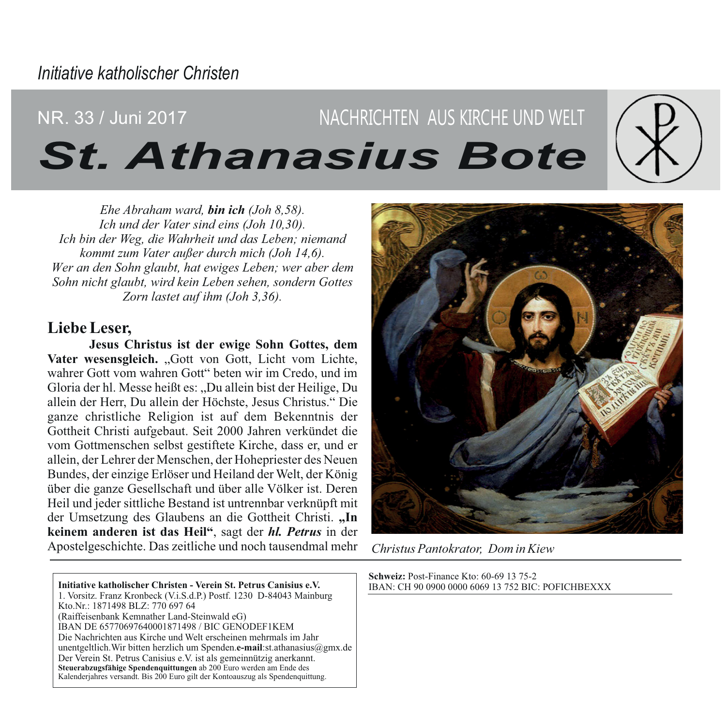# NACHRICHTEN AUS KIRCHE UND WELT NR. 33 / Juni 2017 **St. Athanasius Bote**

 $Ehe$  Abraham ward, **bin ich** (Joh  $8.58$ ). Ich und der Vater sind eins (Joh 10,30). Ich bin der Weg, die Wahrheit und das Leben; niemand kommt zum Vater außer durch mich (Joh 14,6). Wer an den Sohn glaubt, hat ewiges Leben; wer aber dem Sohn nicht glaubt, wird kein Leben sehen, sondern Gottes Zorn lastet auf ihm (Joh 3,36).

# Liebe Leser.

Jesus Christus ist der ewige Sohn Gottes, dem Vater wesensgleich. "Gott von Gott, Licht vom Lichte, wahrer Gott vom wahren Gott" beten wir im Credo, und im Gloria der hl. Messe heißt es: "Du allein bist der Heilige, Du allein der Herr. Du allein der Höchste, Jesus Christus." Die ganze christliche Religion ist auf dem Bekenntnis der Gottheit Christi aufgebaut. Seit 2000 Jahren verkündet die vom Gottmenschen selbst gestiftete Kirche, dass er, und er allein, der Lehrer der Menschen, der Hohepriester des Neuen Bundes, der einzige Erlöser und Heiland der Welt, der König über die ganze Gesellschaft und über alle Völker ist. Deren Heil und jeder sittliche Bestand ist untrennbar verknüpft mit der Umsetzung des Glaubens an die Gottheit Christi. "In keinem anderen ist das Heil", sagt der hl. Petrus in der Apostelgeschichte. Das zeitliche und noch tausendmal mehr

Initiative katholischer Christen - Verein St. Petrus Canisius e.V. 1. Vorsitz, Franz Kronbeck (V.i.S.d.P.) Postf. 1230 D-84043 Mainburg Kto.Nr.: 1871498 BLZ: 770 697 64 (Raiffeisenbank Kemnather Land-Steinwald eG) IBAN DE 65770697640001871498 / BIC GENODEF1KEM Die Nachrichten aus Kirche und Welt erscheinen mehrmals im Jahr unentgeltlich. Wir bitten herzlich um Spenden.e-mail:st.athanasius@gmx.de Der Verein St. Petrus Canisius e.V. ist als gemeinnützig anerkannt. Steuerabzugsfähige Spendenquittungen ab 200 Euro werden am Ende des Kalenderiahres versandt. Bis 200 Euro gilt der Kontoauszug als Spendenquittung.



Christus Pantokrator. Dom in Kiew

Schweiz: Post-Finance Kto: 60-69 13 75-2 IBAN: CH 90 0900 0000 6069 13 752 BIC: POFICHBEXXX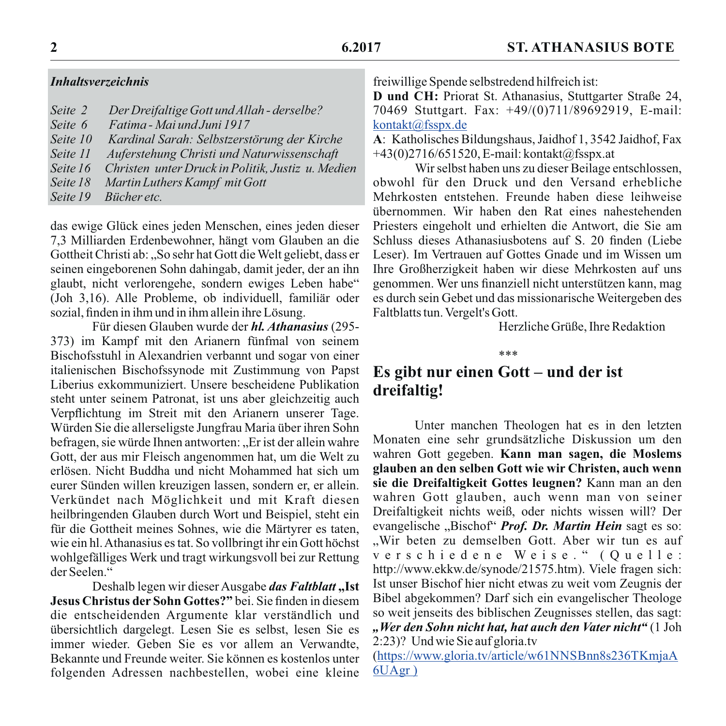## **Inhaltsverzeichnis**

| Seite 2            | Der Dreifaltige Gott und Allah - derselbe?        |
|--------------------|---------------------------------------------------|
| Seite 6            | Fatima - Mai und Juni 1917                        |
| Seite 10           | Kardinal Sarah: Selbstzerstörung der Kirche       |
| Seite 11           | Auferstehung Christi und Naturwissenschaft        |
| Seite 16           | Christen unter Druck in Politik, Justiz u. Medien |
| Seite 18           | Martin Luthers Kampf mit Gott                     |
| $S$ <i>eite</i> 19 | Riicher etc                                       |

das ewige Glück eines jeden Menschen, eines jeden dieser 7,3 Milliarden Erdenbewohner, hängt vom Glauben an die Gottheit Christi ab: "So sehr hat Gott die Welt geliebt, dass er seinen eingeborenen Sohn dahingab, damit jeder, der an ihn glaubt, nicht verlorengehe, sondern ewiges Leben habe" (Joh 3.16). Alle Probleme, ob individuell, familiär oder sozial, finden in ihm und in ihm allein ihre Lösung.

Für diesen Glauben wurde der *hl. Athanasius* (295-373) im Kampf mit den Arianern fünfmal von seinem Bischofsstuhl in Alexandrien verbannt und sogar von einer italienischen Bischofssynode mit Zustimmung von Papst Liberius exkommuniziert. Unsere bescheidene Publikation steht unter seinem Patronat, ist uns aber gleichzeitig auch Verpflichtung im Streit mit den Arianern unserer Tage. Würden Sie die allerseligste Jungfrau Maria über ihren Sohn befragen, sie würde Ihnen antworten: "Er ist der allein wahre Gott, der aus mir Fleisch angenommen hat, um die Welt zu erlösen. Nicht Buddha und nicht Mohammed hat sich um eurer Sünden willen kreuzigen lassen, sondern er, er allein. Verkündet nach Möglichkeit und mit Kraft diesen heilbringenden Glauben durch Wort und Beispiel, steht ein für die Gottheit meines Sohnes, wie die Märtvrer es taten. wie ein hl. Athanasius es tat. So vollbringt ihr ein Gott höchst wohlgefälliges Werk und tragt wirkungsvoll bei zur Rettung der Seelen."

Deshalb legen wir dieser Ausgabe das Faltblatt "Ist Jesus Christus der Sohn Gottes?" bei. Sie finden in diesem die entscheidenden Argumente klar verständlich und übersichtlich dargelegt. Lesen Sie es selbst, lesen Sie es immer wieder. Geben Sie es vor allem an Verwandte. Bekannte und Freunde weiter. Sie können es kostenlos unter folgenden Adressen nachbestellen, wobei eine kleine freiwillige Spende selbstredend hilfreich ist:

D und CH: Priorat St. Athanasius, Stuttgarter Straße 24, 70469 Stuttgart. Fax: +49/(0)711/89692919, E-mail: kontakt@fsspx.de

A: Katholisches Bildungshaus, Jaidhof 1, 3542 Jaidhof, Fax +43(0)2716/651520, E-mail: kontakt@fsspx.at

Wir selbst haben uns zu dieser Beilage entschlossen, obwohl für den Druck und den Versand erhebliche Mehrkosten entstehen. Freunde haben diese leihweise übernommen. Wir haben den Rat eines nahestehenden Priesters eingeholt und erhielten die Antwort, die Sie am Schluss dieses Athanasiusbotens auf S. 20 finden (Liebe Leser). Im Vertrauen auf Gottes Gnade und im Wissen um Ihre Großherzigkeit haben wir diese Mehrkosten auf uns genommen. Wer uns finanziell nicht unterstützen kann, mag es durch sein Gebet und das missionarische Weitergeben des Faltblatts tun. Vergelt's Gott.

Herzliche Grüße, Ihre Redaktion

 $***$ 

# Es gibt nur einen Gott – und der ist dreifaltig!

Unter manchen Theologen hat es in den letzten Monaten eine sehr grundsätzliche Diskussion um den wahren Gott gegeben. Kann man sagen, die Moslems glauben an den selben Gott wie wir Christen, auch wenn sie die Dreifaltigkeit Gottes leugnen? Kann man an den wahren Gott glauben, auch wenn man von seiner Dreifaltigkeit nichts weiß, oder nichts wissen will? Der evangelische "Bischof" Prof. Dr. Martin Hein sagt es so: ..Wir beten zu demselben Gott. Aber wir tun es auf verschiedene Weise." (Ouelle: http://www.ekkw.de/synode/21575.htm). Viele fragen sich: Ist unser Bischof hier nicht etwas zu weit vom Zeugnis der Bibel abgekommen? Darf sich ein evangelischer Theologe so weit jenseits des biblischen Zeugnisses stellen, das sagt: "Wer den Sohn nicht hat, hat auch den Vater nicht" (1 Joh 2:23)? Und wie Sie auf gloria.tv

(https://www.gloria.tv/article/w61NNSBnn8s236TKmjaA  $6U\overline{Agr}$ )

 $\overline{2}$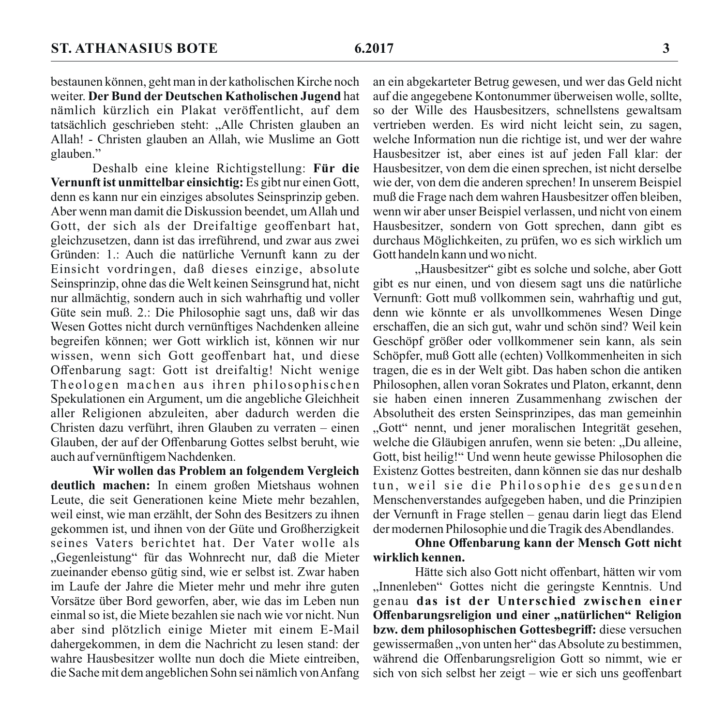bestaunen können, geht man in der katholischen Kirche noch weiter. Der Bund der Deutschen Katholischen Jugend hat nämlich kürzlich ein Plakat veröffentlicht, auf dem tatsächlich geschrieben steht: "Alle Christen glauben an Allah! - Christen glauben an Allah, wie Muslime an Gott glauben."

Deshalb eine kleine Richtigstellung: Für die Vernunft ist unmittelbar einsichtig: Es gibt nur einen Gott. denn es kann nur ein einziges absolutes Seinsprinzip geben. Aber wenn man damit die Diskussion beendet, um Allah und Gott, der sich als der Dreifaltige geoffenbart hat, gleichzusetzen, dann ist das irreführend, und zwar aus zwei Gründen: 1.: Auch die natürliche Vernunft kann zu der Einsicht vordringen, daß dieses einzige, absolute Seinsprinzip, ohne das die Welt keinen Seinsgrund hat, nicht nur allmächtig, sondern auch in sich wahrhaftig und voller Güte sein muß. 2.: Die Philosophie sagt uns, daß wir das Wesen Gottes nicht durch vernünftiges Nachdenken alleine begreifen können; wer Gott wirklich ist, können wir nur wissen, wenn sich Gott geoffenbart hat, und diese Offenbarung sagt: Gott ist dreifaltig! Nicht wenige Theologen machen aus ihren philosophischen Spekulationen ein Argument, um die angebliche Gleichheit aller Religionen abzuleiten, aber dadurch werden die Christen dazu verführt, ihren Glauben zu verraten – einen Glauben, der auf der Offenbarung Gottes selbst beruht, wie auch auf vernünftigem Nachdenken.

Wir wollen das Problem an folgendem Vergleich deutlich machen: In einem großen Mietshaus wohnen Leute, die seit Generationen keine Miete mehr bezahlen. weil einst, wie man erzählt, der Sohn des Besitzers zu ihnen gekommen ist, und ihnen von der Güte und Großherzigkeit seines Vaters berichtet hat. Der Vater wolle als "Gegenleistung" für das Wohnrecht nur, daß die Mieter zueinander ebenso gütig sind, wie er selbst ist. Zwar haben im Laufe der Jahre die Mieter mehr und mehr ihre guten Vorsätze über Bord geworfen, aber, wie das im Leben nun einmal so ist, die Miete bezahlen sie nach wie vor nicht. Nun aber sind plötzlich einige Mieter mit einem E-Mail dahergekommen, in dem die Nachricht zu lesen stand: der wahre Hausbesitzer wollte nun doch die Miete eintreiben. die Sache mit dem angeblichen Sohn sei nämlich von Anfang an ein abgekarteter Betrug gewesen, und wer das Geld nicht auf die angegebene Kontonummer überweisen wolle, sollte, so der Wille des Hausbesitzers, schnellstens gewaltsam vertrieben werden. Es wird nicht leicht sein, zu sagen, welche Information nun die richtige ist, und wer der wahre Hausbesitzer ist, aber eines ist auf jeden Fall klar: der Hausbesitzer, von dem die einen sprechen, ist nicht derselbe wie der, von dem die anderen sprechen! In unserem Beispiel muß die Frage nach dem wahren Hausbesitzer offen bleiben, wenn wir aber unser Beispiel verlassen, und nicht von einem Hausbesitzer, sondern von Gott sprechen, dann gibt es durchaus Möglichkeiten, zu prüfen, wo es sich wirklich um Gott handeln kann und wo nicht.

"Hausbesitzer" gibt es solche und solche, aber Gott gibt es nur einen, und von diesem sagt uns die natürliche Vernunft: Gott muß vollkommen sein, wahrhaftig und gut. denn wie könnte er als unvollkommenes Wesen Dinge erschaffen, die an sich gut, wahr und schön sind? Weil kein Geschöpf größer oder vollkommener sein kann, als sein Schöpfer, muß Gott alle (echten) Vollkommenheiten in sich tragen, die es in der Welt gibt. Das haben schon die antiken Philosophen, allen voran Sokrates und Platon, erkannt, denn sie haben einen inneren Zusammenhang zwischen der Absolutheit des ersten Seinsprinzipes, das man gemeinhin "Gott" nennt, und jener moralischen Integrität gesehen, welche die Gläubigen anrufen, wenn sie beten: "Du alleine, Gott, bist heilig!" Und wenn heute gewisse Philosophen die Existenz Gottes bestreiten, dann können sie das nur deshalb tun, weil sie die Philosophie des gesunden Menschenverstandes aufgegeben haben, und die Prinzipien der Vernunft in Frage stellen – genau darin liegt das Elend der modernen Philosophie und die Tragik des Abendlandes.

#### Ohne Offenbarung kann der Mensch Gott nicht wirklich kennen.

Hätte sich also Gott nicht offenbart, hätten wir vom "Innenleben" Gottes nicht die geringste Kenntnis. Und genau das ist der Unterschied zwischen einer Offenbarungsreligion und einer "natürlichen" Religion bzw. dem philosophischen Gottesbegriff: diese versuchen gewissermaßen "von unten her" das Absolute zu bestimmen, während die Offenbarungsreligion Gott so nimmt, wie er sich von sich selbst her zeigt – wie er sich uns geoffenbart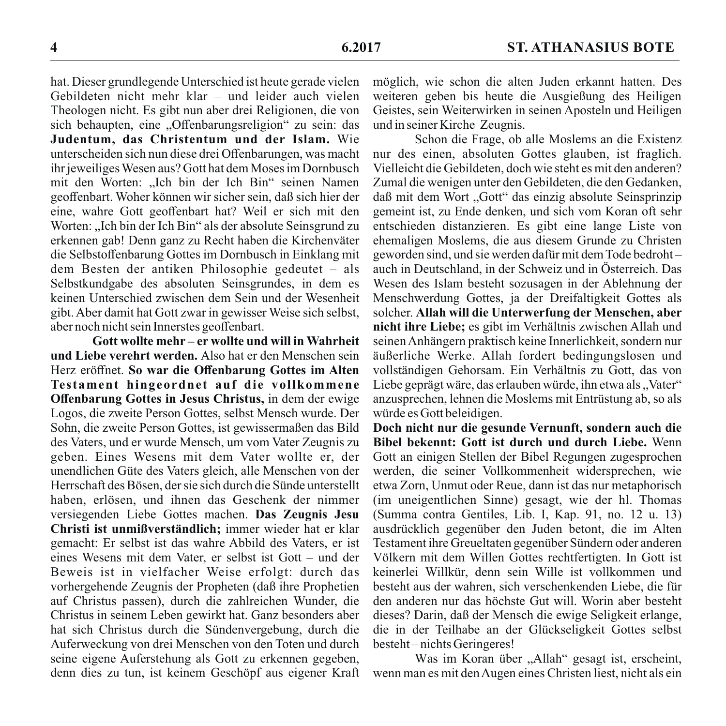hat. Dieser grundlegende Unterschied ist heute gerade vielen Gebildeten nicht mehr klar – und leider auch vielen Theologen nicht. Es gibt nun aber drei Religionen, die von sich behaupten, eine "Offenbarungsreligion" zu sein: das Judentum, das Christentum und der Islam. Wie unterscheiden sich nun diese drei Offenbarungen, was macht ihr jeweiliges Wesen aus? Gott hat dem Moses im Dornbusch mit den Worten: "Ich bin der Ich Bin" seinen Namen geoffenbart. Woher können wir sicher sein, daß sich hier der eine, wahre Gott geoffenbart hat? Weil er sich mit den Worten: "Ich bin der Ich Bin" als der absolute Seinsgrund zu erkennen gab! Denn ganz zu Recht haben die Kirchenväter die Selbstoffenbarung Gottes im Dornbusch in Einklang mit dem Besten der antiken Philosophie gedeutet – als Selbstkundgabe des absoluten Seinsgrundes, in dem es keinen Unterschied zwischen dem Sein und der Wesenheit gibt. Aber damit hat Gott zwar in gewisser Weise sich selbst, aber noch nicht sein Innerstes geoffenbart.

Gott wollte mehr – er wollte und will in Wahrheit und Liebe verehrt werden. Also hat er den Menschen sein Herz eröffnet. So war die Offenbarung Gottes im Alten Testament hingeordnet auf die vollkommene Offenbarung Gottes in Jesus Christus, in dem der ewige Logos, die zweite Person Gottes, selbst Mensch wurde. Der Sohn, die zweite Person Gottes, ist gewissermaßen das Bild des Vaters, und er wurde Mensch, um vom Vater Zeugnis zu geben. Eines Wesens mit dem Vater wollte er, der unendlichen Güte des Vaters gleich, alle Menschen von der Herrschaft des Bösen, der sie sich durch die Sünde unterstellt haben, erlösen, und ihnen das Geschenk der nimmer versiegenden Liebe Gottes machen. Das Zeugnis Jesu Christi ist unmißverständlich: immer wieder hat er klar gemacht: Er selbst ist das wahre Abbild des Vaters, er ist eines Wesens mit dem Vater, er selbst ist Gott – und der Beweis ist in vielfacher Weise erfolgt: durch das vorhergehende Zeugnis der Propheten (daß ihre Prophetien auf Christus passen), durch die zahlreichen Wunder, die Christus in seinem Leben gewirkt hat. Ganz besonders aber hat sich Christus durch die Sündenvergebung, durch die Auferweckung von drei Menschen von den Toten und durch seine eigene Auferstehung als Gott zu erkennen gegeben, denn dies zu tun, ist keinem Geschöpf aus eigener Kraft

möglich, wie schon die alten Juden erkannt hatten. Des weiteren geben bis heute die Ausgießung des Heiligen Geistes, sein Weiterwirken in seinen Aposteln und Heiligen und in seiner Kirche Zeugnis.

Schon die Frage, ob alle Moslems an die Existenz nur des einen, absoluten Gottes glauben, ist fraglich. Vielleicht die Gebildeten, doch wie steht es mit den anderen? Zumal die wenigen unter den Gebildeten, die den Gedanken. daß mit dem Wort "Gott" das einzig absolute Seinsprinzip gemeint ist, zu Ende denken, und sich vom Koran oft sehr entschieden distanzieren. Es gibt eine lange Liste von ehemaligen Moslems, die aus diesem Grunde zu Christen geworden sind, und sie werden dafür mit dem Tode bedrohtauch in Deutschland, in der Schweiz und in Österreich. Das Wesen des Islam besteht sozusagen in der Ablehnung der Menschwerdung Gottes, ja der Dreifaltigkeit Gottes als solcher. Allah will die Unterwerfung der Menschen, aber nicht ihre Liebe; es gibt im Verhältnis zwischen Allah und seinen Anhängern praktisch keine Innerlichkeit, sondern nur äußerliche Werke. Allah fordert bedingungslosen und vollständigen Gehorsam. Ein Verhältnis zu Gott, das von Liebe geprägt wäre, das erlauben würde, ihn etwa als. "Vater" anzusprechen, lehnen die Moslems mit Entrüstung ab, so als würde es Gott beleidigen.

Doch nicht nur die gesunde Vernunft, sondern auch die Bibel bekennt: Gott ist durch und durch Liebe. Wenn Gott an einigen Stellen der Bibel Regungen zugesprochen werden, die seiner Vollkommenheit widersprechen, wie etwa Zorn, Unmut oder Reue, dann ist das nur metaphorisch (im uneigentlichen Sinne) gesagt, wie der hl. Thomas (Summa contra Gentiles, Lib. I, Kap. 91, no. 12 u. 13) ausdrücklich gegenüber den Juden betont, die im Alten Testament ihre Greueltaten gegenüber Sündern oder anderen Völkern mit dem Willen Gottes rechtfertigten. In Gott ist keinerlei Willkür, denn sein Wille ist vollkommen und besteht aus der wahren, sich verschenkenden Liebe, die für den anderen nur das höchste Gut will. Worin aber besteht dieses? Darin, daß der Mensch die ewige Seligkeit erlange, die in der Teilhabe an der Glückseligkeit Gottes selbst besteht-nichts Geringeres!

Was im Koran über "Allah" gesagt ist, erscheint, wenn man es mit den Augen eines Christen liest, nicht als ein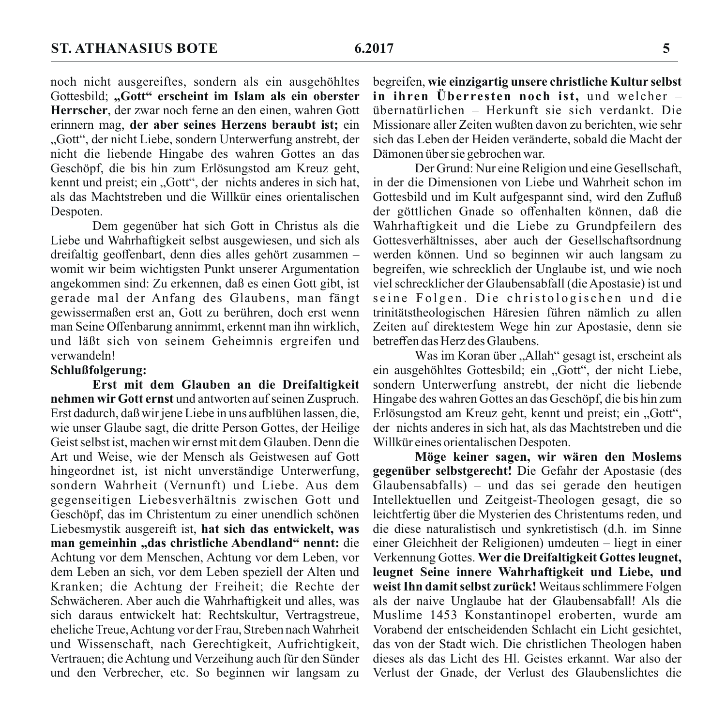noch nicht ausgereiftes, sondern als ein ausgehöhltes Gottesbild: "Gott" erscheint im Islam als ein oberster Herrscher, der zwar noch ferne an den einen, wahren Gott erinnern mag, der aber seines Herzens beraubt ist; ein "Gott", der nicht Liebe, sondern Unterwerfung anstrebt, der nicht die liebende Hingabe des wahren Gottes an das Geschöpf, die bis hin zum Erlösungstod am Kreuz geht, kennt und preist; ein "Gott", der nichts anderes in sich hat. als das Machtstreben und die Willkür eines orientalischen Despoten.

Dem gegenüber hat sich Gott in Christus als die Liebe und Wahrhaftigkeit selbst ausgewiesen, und sich als dreifaltig geoffenbart, denn dies alles gehört zusammen womit wir beim wichtigsten Punkt unserer Argumentation angekommen sind: Zu erkennen, daß es einen Gott gibt, ist gerade mal der Anfang des Glaubens, man fängt gewissermaßen erst an. Gott zu berühren, doch erst wenn man Seine Offenbarung annimmt, erkennt man ihn wirklich, und läßt sich von seinem Geheimnis ergreifen und verwandeln!

#### Schlußfolgerung:

Erst mit dem Glauben an die Dreifaltigkeit nehmen wir Gott ernst und antworten auf seinen Zuspruch. Erst dadurch, daß wir iene Liebe in uns aufblühen lassen, die. wie unser Glaube sagt, die dritte Person Gottes, der Heilige Geist selbst ist, machen wir ernst mit dem Glauben. Denn die Art und Weise, wie der Mensch als Geistwesen auf Gott hingeordnet ist, ist nicht unverständige Unterwerfung. sondern Wahrheit (Vernunft) und Liebe. Aus dem gegenseitigen Liebesverhältnis zwischen Gott und Geschöpf, das im Christentum zu einer unendlich schönen Liebesmystik ausgereift ist, hat sich das entwickelt, was man gemeinhin "das christliche Abendland" nennt: die Achtung vor dem Menschen, Achtung vor dem Leben, vor dem Leben an sich, vor dem Leben speziell der Alten und Kranken: die Achtung der Freiheit: die Rechte der Schwächeren. Aber auch die Wahrhaftigkeit und alles, was sich daraus entwickelt hat: Rechtskultur, Vertragstreue, eheliche Treue, Achtung vor der Frau, Streben nach Wahrheit und Wissenschaft, nach Gerechtigkeit, Aufrichtigkeit, Vertrauen; die Achtung und Verzeihung auch für den Sünder und den Verbrecher, etc. So beginnen wir langsam zu

begreifen, wie einzigartig unsere christliche Kultur selbst in ihren Überresten noch ist, und welcher übernatürlichen – Herkunft sie sich verdankt. Die Missionare aller Zeiten wußten davon zu berichten, wie sehr sich das Leben der Heiden veränderte, sobald die Macht der Dämonen über sie gebrochen war.

Der Grund: Nur eine Religion und eine Gesellschaft, in der die Dimensionen von Liebe und Wahrheit schon im Gottesbild und im Kult aufgespannt sind, wird den Zufluß der göttlichen Gnade so offenhalten können, daß die Wahrhaftigkeit und die Liebe zu Grundpfeilern des Gottesverhältnisses, aber auch der Gesellschaftsordnung werden können. Und so beginnen wir auch langsam zu begreifen, wie schrecklich der Unglaube ist, und wie noch viel schrecklicher der Glaubensabfall (die Apostasie) ist und seine Folgen. Die christologischen und die trinitätstheologischen Häresien führen nämlich zu allen Zeiten auf direktestem Wege hin zur Apostasie, denn sie betreffen das Herz des Glaubens.

Was im Koran über "Allah" gesagt ist, erscheint als ein ausgehöhltes Gottesbild; ein "Gott", der nicht Liebe, sondern Unterwerfung anstrebt, der nicht die liebende Hingabe des wahren Gottes an das Geschöpf, die bis hin zum Erlösungstod am Kreuz geht, kennt und preist: ein "Gott". der nichts anderes in sich hat, als das Machtstreben und die Willkür eines orientalischen Despoten.

Möge keiner sagen, wir wären den Moslems gegenüber selbstgerecht! Die Gefahr der Apostasie (des Glaubensabfalls) – und das sei gerade den heutigen Intellektuellen und Zeitgeist-Theologen gesagt, die so leichtfertig über die Mysterien des Christentums reden, und die diese naturalistisch und synkretistisch (d.h. im Sinne einer Gleichheit der Religionen) umdeuten – liegt in einer Verkennung Gottes. Wer die Dreifaltigkeit Gottes leugnet, leugnet Seine innere Wahrhaftigkeit und Liebe, und weist Ihn damit selbst zurück! Weitaus schlimmere Folgen als der naive Unglaube hat der Glaubensabfall! Als die Muslime 1453 Konstantinopel eroberten, wurde am Vorabend der entscheidenden Schlacht ein Licht gesichtet, das von der Stadt wich. Die christlichen Theologen haben dieses als das Licht des Hl. Geistes erkannt. War also der Verlust der Gnade, der Verlust des Glaubenslichtes die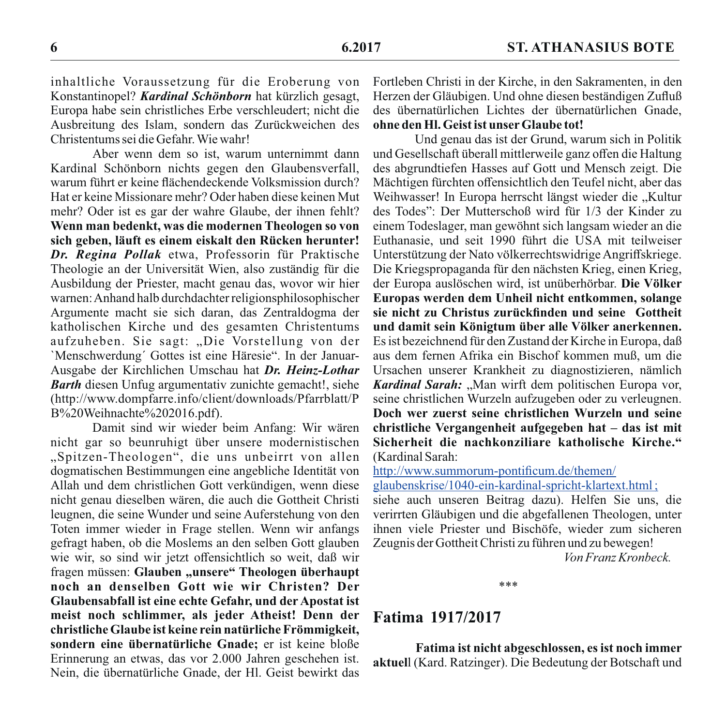inhaltliche Voraussetzung für die Eroberung von Konstantinopel? Kardinal Schönborn hat kürzlich gesagt, Europa habe sein christliches Erbe verschleudert; nicht die Ausbreitung des Islam, sondern das Zurückweichen des Christentums sei die Gefahr. Wie wahr!

Aber wenn dem so ist, warum unternimmt dann Kardinal Schönborn nichts gegen den Glaubensverfall, warum führt er keine flächendeckende Volksmission durch? Hat er keine Missionare mehr? Oder haben diese keinen Mut mehr? Oder ist es gar der wahre Glaube, der ihnen fehlt? Wenn man bedenkt, was die modernen Theologen so von sich geben, läuft es einem eiskalt den Rücken herunter! Dr. Regina Pollak etwa, Professorin für Praktische Theologie an der Universität Wien, also zuständig für die Ausbildung der Priester, macht genau das, wovor wir hier warnen: Anhand halb durchdachter religionsphilosophischer Argumente macht sie sich daran, das Zentraldogma der katholischen Kirche und des gesamten Christentums aufzuheben. Sie sagt: "Die Vorstellung von der 'Menschwerdung' Gottes ist eine Häresie". In der Januar-Ausgabe der Kirchlichen Umschau hat Dr. Heinz-Lothar **Barth** diesen Unfug argumentativ zunichte gemacht!, siehe (http://www.dompfarre.info/client/downloads/Pfarrblatt/P B%20Weihnachte%202016.pdf).

Damit sind wir wieder beim Anfang: Wir wären nicht gar so beunruhigt über unsere modernistischen "Spitzen-Theologen", die uns unbeirrt von allen dogmatischen Bestimmungen eine angebliche Identität von Allah und dem christlichen Gott verkündigen, wenn diese nicht genau dieselben wären, die auch die Gottheit Christi leugnen, die seine Wunder und seine Auferstehung von den Toten immer wieder in Frage stellen. Wenn wir anfangs gefragt haben, ob die Moslems an den selben Gott glauben wie wir, so sind wir jetzt offensichtlich so weit, daß wir fragen müssen: Glauben "unsere" Theologen überhaupt noch an denselben Gott wie wir Christen? Der Glaubensabfall ist eine echte Gefahr, und der Apostat ist meist noch schlimmer, als jeder Atheist! Denn der christliche Glaube ist keine rein natürliche Frömmigkeit, sondern eine übernatürliche Gnade: er ist keine bloße Erinnerung an etwas, das vor 2.000 Jahren geschehen ist. Nein, die übernatürliche Gnade, der Hl. Geist bewirkt das

Fortleben Christi in der Kirche, in den Sakramenten, in den Herzen der Gläubigen. Und ohne diesen beständigen Zufluß des übernatürlichen Lichtes der übernatürlichen Gnade. ohne den Hl. Geist ist unser Glaube tot!

Und genau das ist der Grund, warum sich in Politik und Gesellschaft überall mittlerweile ganz offen die Haltung des abgrundtiefen Hasses auf Gott und Mensch zeigt. Die Mächtigen fürchten offensichtlich den Teufel nicht, aber das Weihwasser! In Europa herrscht längst wieder die "Kultur des Todes": Der Mutterschoß wird für 1/3 der Kinder zu einem Todeslager, man gewöhnt sich langsam wieder an die Euthanasie, und seit 1990 führt die USA mit teilweiser Unterstützung der Nato völkerrechtswidrige Angriffskriege. Die Kriegspropaganda für den nächsten Krieg, einen Krieg, der Europa auslöschen wird, ist unüberhörbar. Die Völker Europas werden dem Unheil nicht entkommen, solange sie nicht zu Christus zurückfinden und seine Gottheit und damit sein Königtum über alle Völker anerkennen. Es ist bezeichnend für den Zustand der Kirche in Europa, daß aus dem fernen Afrika ein Bischof kommen muß, um die Ursachen unserer Krankheit zu diagnostizieren, nämlich Kardinal Sarah: "Man wirft dem politischen Europa vor, seine christlichen Wurzeln aufzugeben oder zu verleugnen. Doch wer zuerst seine christlichen Wurzeln und seine christliche Vergangenheit aufgegeben hat – das ist mit Sicherheit die nachkonziliare katholische Kirche." (Kardinal Sarah:

http://www.summorum-pontificum.de/themen/

glaubenskrise/1040-ein-kardinal-spricht-klartext.html;

siehe auch unseren Beitrag dazu). Helfen Sie uns, die verirrten Gläubigen und die abgefallenen Theologen, unter ihnen viele Priester und Bischöfe, wieder zum sicheren Zeugnis der Gottheit Christi zu führen und zu bewegen! Von Franz Kronbeck

 $***$ 

# Fatima 1917/2017

Fatima ist nicht abgeschlossen, es ist noch immer aktuell (Kard, Ratzinger). Die Bedeutung der Botschaft und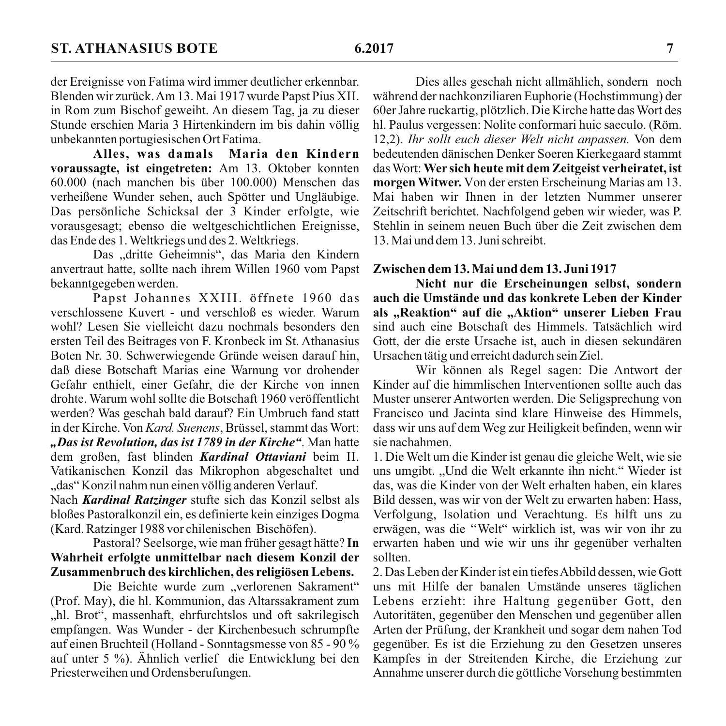Alles, was damals Maria den Kindern voraussagte, ist eingetreten: Am 13. Oktober konnten 60.000 (nach manchen bis über 100.000) Menschen das verheißene Wunder sehen, auch Spötter und Ungläubige. Das persönliche Schicksal der 3 Kinder erfolgte, wie vorausgesagt; ebenso die weltgeschichtlichen Ereignisse, das Ende des 1. Weltkriegs und des 2. Weltkriegs.

Das "dritte Geheimnis", das Maria den Kindern anvertraut hatte, sollte nach ihrem Willen 1960 vom Papst bekanntgegeben werden.

Papst Johannes XXIII. öffnete 1960 das verschlossene Kuvert - und verschloß es wieder. Warum wohl? Lesen Sie vielleicht dazu nochmals besonders den ersten Teil des Beitrages von F. Kronbeck im St. Athanasius Boten Nr. 30. Schwerwiegende Gründe weisen darauf hin. daß diese Botschaft Marias eine Warnung vor drohender Gefahr enthielt, einer Gefahr, die der Kirche von innen drohte. Warum wohl sollte die Botschaft 1960 veröffentlicht werden? Was geschah bald darauf? Ein Umbruch fand statt in der Kirche. Von Kard. Suenens, Brüssel, stammt das Wort: "Das ist Revolution, das ist 1789 in der Kirche". Man hatte dem großen, fast blinden Kardinal Ottaviani beim II. Vatikanischen Konzil das Mikrophon abgeschaltet und "das" Konzil nahm nun einen völlig anderen Verlauf.

Nach Kardinal Ratzinger stufte sich das Konzil selbst als bloßes Pastoralkonzil ein, es definierte kein einziges Dogma (Kard, Ratzinger 1988 vor chilenischen Bischöfen).

## Pastoral? Seelsorge, wie man früher gesagt hätte? In Wahrheit erfolgte unmittelbar nach diesem Konzil der Zusammenbruch des kirchlichen, des religiösen Lebens.

Die Beichte wurde zum "verlorenen Sakrament" (Prof. May), die hl. Kommunion, das Altarssakrament zum "hl. Brot", massenhaft, ehrfurchtslos und oft sakrilegisch empfangen. Was Wunder - der Kirchenbesuch schrumpfte auf einen Bruchteil (Holland - Sonntagsmesse von 85 - 90 % auf unter 5 %). Ähnlich verlief die Entwicklung bei den Priesterweihen und Ordensberufungen.

Dies alles geschah nicht allmählich, sondern noch während der nachkonziliaren Euphorie (Hochstimmung) der 60er Jahre ruckartig, plötzlich. Die Kirche hatte das Wort des hl. Paulus vergessen: Nolite conformari huic saeculo. (Röm. 12.2). Ihr sollt euch dieser Welt nicht anpassen. Von dem bedeutenden dänischen Denker Soeren Kierkegaard stammt das Wort: Wer sich heute mit dem Zeitgeist verheiratet, ist morgen Witwer. Von der ersten Erscheinung Marias am 13. Mai haben wir Ihnen in der letzten Nummer unserer Zeitschrift berichtet. Nachfolgend geben wir wieder, was P. Stehlin in seinem neuen Buch über die Zeit zwischen dem 13 Mai und dem 13 Juni schreibt

#### Zwischen dem 13. Mai und dem 13. Juni 1917

Nicht nur die Erscheinungen selbst, sondern auch die Umstände und das konkrete Leben der Kinder als "Reaktion" auf die "Aktion" unserer Lieben Frau sind auch eine Botschaft des Himmels Tatsächlich wird Gott, der die erste Ursache ist, auch in diesen sekundären Ursachen tätig und erreicht dadurch sein Ziel.

Wir können als Regel sagen: Die Antwort der Kinder auf die himmlischen Interventionen sollte auch das Muster unserer Antworten werden. Die Seligsprechung von Francisco und Jacinta sind klare Hinweise des Himmels. dass wir uns auf dem Weg zur Heiligkeit befinden, wenn wir sie nachahmen.

1. Die Welt um die Kinder ist genau die gleiche Welt, wie sie uns umgibt. "Und die Welt erkannte ihn nicht." Wieder ist das, was die Kinder von der Welt erhalten haben, ein klares Bild dessen, was wir von der Welt zu erwarten haben: Hass, Verfolgung, Isolation und Verachtung. Es hilft uns zu erwägen, was die "Welt" wirklich ist, was wir von ihr zu erwarten haben und wie wir uns ihr gegenüber verhalten sollten

2. Das Leben der Kinder ist ein tiefes Abbild dessen, wie Gott uns mit Hilfe der banalen Umstände unseres täglichen Lebens erzieht: ihre Haltung gegenüber Gott, den Autoritäten, gegenüber den Menschen und gegenüber allen Arten der Prüfung, der Krankheit und sogar dem nahen Tod gegenüber. Es ist die Erziehung zu den Gesetzen unseres Kampfes in der Streitenden Kirche, die Erziehung zur Annahme unserer durch die göttliche Vorsehung bestimmten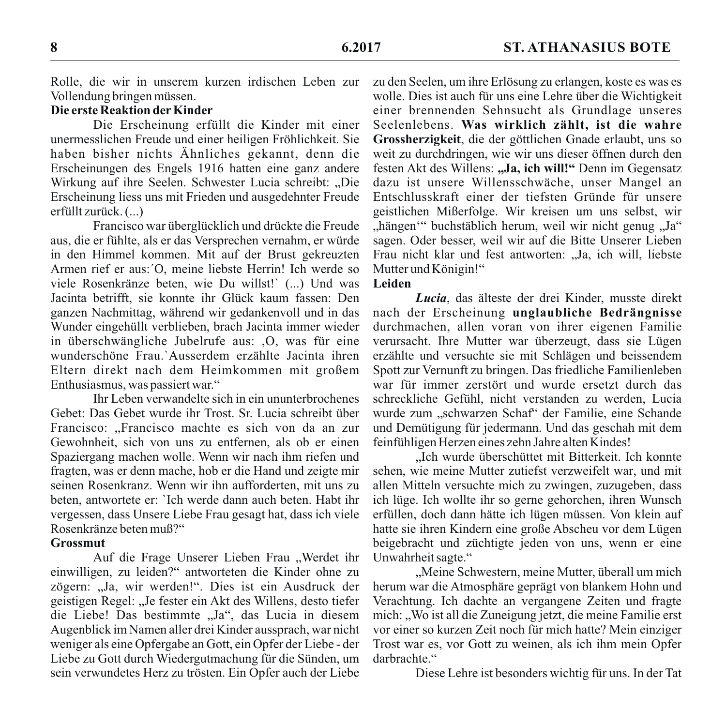Rolle, die wir in unserem kurzen irdischen Leben zur Vollendung bringen müssen.

## Die erste Reaktion der Kinder

Die Erscheinung erfüllt die Kinder mit einer unermesslichen Freude und einer heiligen Fröhlichkeit. Sie haben bisher nichts Ähnliches gekannt, denn die Erscheinungen des Engels 1916 hatten eine ganz andere Wirkung auf ihre Seelen. Schwester Lucia schreibt: "Die Erscheinung liess uns mit Frieden und ausgedehnter Freude erfüllt zurück. (...)

Francisco war überglücklich und drückte die Freude aus, die er fühlte, als er das Versprechen vernahm, er würde in den Himmel kommen. Mit auf der Brust gekreuzten Armen rief er aus: O, meine liebste Herrin! Ich werde so viele Rosenkränze beten, wie Du willst!' (...) Und was Jacinta betrifft, sie konnte ihr Glück kaum fassen: Den ganzen Nachmittag, während wir gedankenvoll und in das Wunder eingehüllt verblieben, brach Jacinta immer wieder in überschwängliche Jubelrufe aus: .O. was für eine wunderschöne Frau. Ausserdem erzählte Jacinta ihren Eltern direkt nach dem Heimkommen mit großem Enthusiasmus, was passiert war."

Thr Leben verwandelte sich in ein ununterbrochenes Gebet: Das Gebet wurde ihr Trost. Sr. Lucia schreibt über Francisco: "Francisco machte es sich von da an zur Gewohnheit, sich von uns zu entfernen, als ob er einen Spaziergang machen wolle. Wenn wir nach ihm riefen und fragten, was er denn mache, hob er die Hand und zeigte mir seinen Rosenkranz. Wenn wir ihn aufforderten, mit uns zu beten, antwortete er: 'Ich werde dann auch beten. Habt ihr vergessen, dass Unsere Liebe Frau gesagt hat, dass ich viele Rosenkränze beten muß?"

#### **Grossmut**

Auf die Frage Unserer Lieben Frau "Werdet ihr einwilligen, zu leiden?" antworteten die Kinder ohne zu zögern: "Ja, wir werden!". Dies ist ein Ausdruck der geistigen Regel: "Je fester ein Akt des Willens, desto tiefer die Liebe! Das bestimmte "Ja", das Lucia in diesem Augenblick im Namen aller drei Kinder aussprach, war nicht weniger als eine Opfergabe an Gott, ein Opfer der Liebe - der Liebe zu Gott durch Wiedergutmachung für die Sünden, um sein verwundetes Herz zu trösten. Ein Opfer auch der Liebe

zu den Seelen, um ihre Erlösung zu erlangen, koste es was es wolle. Dies ist auch für uns eine Lehre über die Wichtigkeit einer brennenden Sehnsucht als Grundlage unseres Seelenlebens. Was wirklich zählt, ist die wahre Grossherzigkeit, die der göttlichen Gnade erlaubt, uns so weit zu durchdringen, wie wir uns dieser öffnen durch den festen Akt des Willens: "Ja, ich will!" Denn im Gegensatz dazu ist unsere Willensschwäche, unser Mangel an Entschlusskraft einer der tiefsten Gründe für unsere geistlichen Mißerfolge. Wir kreisen um uns selbst, wir "hängen" buchstäblich herum, weil wir nicht genug "Ja" sagen. Oder besser, weil wir auf die Bitte Unserer Lieben Frau nicht klar und fest antworten: "Ja, ich will, liebste Mutter und Königin!"

## Leiden

Lucia, das älteste der drei Kinder, musste direkt nach der Erscheinung unglaubliche Bedrängnisse durchmachen, allen voran von ihrer eigenen Familie verursacht. Ihre Mutter war überzeugt, dass sie Lügen erzählte und versuchte sie mit Schlägen und beissendem Spott zur Vernunft zu bringen. Das friedliche Familienleben war für immer zerstört und wurde ersetzt durch das schreckliche Gefühl, nicht verstanden zu werden. Lucia wurde zum "schwarzen Schaf" der Familie, eine Schande und Demütigung für jedermann. Und das geschah mit dem feinfühligen Herzen eines zehn Jahre alten Kindes!

"Ich wurde überschüttet mit Bitterkeit. Ich konnte sehen, wie meine Mutter zutiefst verzweifelt war, und mit allen Mitteln versuchte mich zu zwingen, zuzugeben, dass ich lüge. Ich wollte ihr so gerne gehorchen, ihren Wunsch erfüllen, doch dann hätte ich lügen müssen. Von klein auf hatte sie ihren Kindern eine große Abscheu vor dem Lügen beigebracht und züchtigte jeden von uns, wenn er eine Unwahrheit sagte."

"Meine Schwestern, meine Mutter, überall um mich herum war die Atmosphäre geprägt von blankem Hohn und Verachtung. Ich dachte an vergangene Zeiten und fragte mich: "Wo ist all die Zuneigung jetzt, die meine Familie erst vor einer so kurzen Zeit noch für mich hatte? Mein einziger Trost war es, vor Gott zu weinen, als ich ihm mein Opfer darbrachte."

Diese Lehre ist besonders wichtig für uns. In der Tat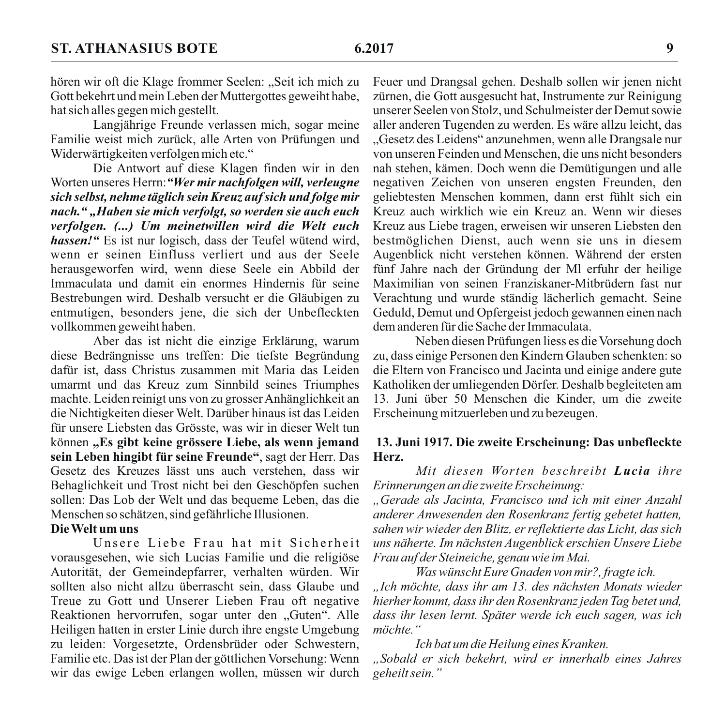hören wir oft die Klage frommer Seelen: "Seit ich mich zu Gott bekehrt und mein Leben der Muttergottes geweiht habe, hat sich alles gegen mich gestellt.

Langjährige Freunde verlassen mich, sogar meine Familie weist mich zurück, alle Arten von Prüfungen und Widerwärtigkeiten verfolgen mich etc."

Die Antwort auf diese Klagen finden wir in den Worten unseres Herrn: "Wer mir nachfolgen will, verleugne sich selbst, nehme täglich sein Kreuz auf sich und folge mir nach." "Haben sie mich verfolgt, so werden sie auch euch verfolgen. (...) Um meinetwillen wird die Welt euch hassen!" Es ist nur logisch, dass der Teufel wütend wird, wenn er seinen Einfluss verliert und aus der Seele herausgeworfen wird, wenn diese Seele ein Abbild der Immaculata und damit ein enormes Hindernis für seine Bestrebungen wird. Deshalb versucht er die Gläubigen zu entmutigen, besonders jene, die sich der Unbefleckten vollkommen geweiht haben.

Aber das ist nicht die einzige Erklärung, warum diese Bedrängnisse uns treffen: Die tiefste Begründung dafür ist, dass Christus zusammen mit Maria das Leiden umarmt und das Kreuz zum Sinnbild seines Triumphes machte. Leiden reinigt uns von zu grosser Anhänglichkeit an die Nichtigkeiten dieser Welt. Darüber hinaus ist das Leiden für unsere Liebsten das Grösste, was wir in dieser Welt tun können "Es gibt keine grössere Liebe, als wenn jemand sein Leben hingibt für seine Freunde", sagt der Herr. Das Gesetz des Kreuzes lässt uns auch verstehen, dass wir Behaglichkeit und Trost nicht bei den Geschöpfen suchen sollen: Das Lob der Welt und das bequeme Leben, das die Menschen so schätzen, sind gefährliche Illusionen.

# Die Welt um uns

Unsere Liebe Frau hat mit Sicherheit vorausgesehen, wie sich Lucias Familie und die religiöse Autorität, der Gemeindepfarrer, verhalten würden. Wir sollten also nicht allzu überrascht sein, dass Glaube und Treue zu Gott und Unserer Lieben Frau oft negative Reaktionen hervorrufen, sogar unter den "Guten". Alle Heiligen hatten in erster Linie durch ihre engste Umgebung zu leiden: Vorgesetzte, Ordensbrüder oder Schwestern. Familie etc. Das ist der Plan der göttlichen Vorsehung: Wenn wir das ewige Leben erlangen wollen, müssen wir durch

Feuer und Drangsal gehen. Deshalb sollen wir jenen nicht zürnen, die Gott ausgesucht hat, Instrumente zur Reinigung unserer Seelen von Stolz, und Schulmeister der Demut sowie aller anderen Tugenden zu werden. Es wäre allzu leicht, das "Gesetz des Leidens" anzunehmen, wenn alle Drangsale nur von unseren Feinden und Menschen, die uns nicht besonders nah stehen, kämen. Doch wenn die Demütigungen und alle negativen Zeichen von unseren engsten Freunden, den geliebtesten Menschen kommen, dann erst fühlt sich ein Kreuz auch wirklich wie ein Kreuz an. Wenn wir dieses Kreuz aus Liebe tragen, erweisen wir unseren Liebsten den bestmöglichen Dienst, auch wenn sie uns in diesem Augenblick nicht verstehen können. Während der ersten fünf Jahre nach der Gründung der MI erfuhr der heilige Maximilian von seinen Franziskaner-Mitbrüdern fast nur Verachtung und wurde ständig lächerlich gemacht. Seine Geduld. Demut und Opfergeist jedoch gewannen einen nach dem anderen für die Sache der Immaculata

Neben diesen Prüfungen liess es die Vorsehung doch zu, dass einige Personen den Kindern Glauben schenkten: so die Eltern von Francisco und Jacinta und einige andere gute Katholiken der umliegenden Dörfer. Deshalb begleiteten am 13. Juni über 50 Menschen die Kinder, um die zweite Erscheinung mitzuerleben und zu bezeugen.

#### 13. Juni 1917. Die zweite Erscheinung: Das unbefleckte Herz.

Mit diesen Worten beschreibt Lucia ihre Erinnerungen an die zweite Erscheinung:

"Gerade als Jacinta, Francisco und ich mit einer Anzahl anderer Anwesenden den Rosenkranz fertig gebetet hatten, sahen wir wieder den Blitz, er reflektierte das Licht, das sich uns näherte. Im nächsten Augenblick erschien Unsere Liebe Frau auf der Steineiche, genau wie im Mai.

Was wünscht Eure Gnaden von mir?, fragte ich. Jch möchte, dass ihr am 13. des nächsten Monats wieder hierher kommt, dass ihr den Rosenkranz jeden Tag betet und, dass ihr lesen lernt. Später werde ich euch sagen, was ich möchte."

#### Ich bat um die Heilung eines Kranken.

"Sobald er sich bekehrt, wird er innerhalb eines Jahres geheilt sein."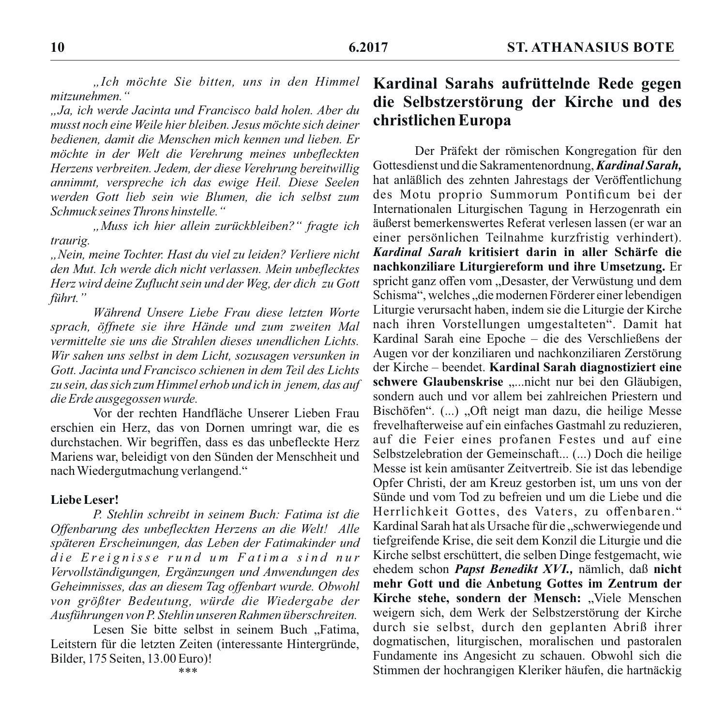"Ich möchte Sie bitten, uns in den Himmel mitzunehmen"

"Ja, ich werde Jacinta und Francisco bald holen. Aber du musst noch eine Weile hier bleiben. Jesus möchte sich deiner bedienen, damit die Menschen mich kennen und lieben. Er möchte in der Welt die Verehrung meines unbefleckten Herzens verbreiten. Jedem, der diese Verehrung bereitwillig annimmt, verspreche ich das ewige Heil, Diese Seelen werden Gott lieb sein wie Blumen, die ich selbst zum Schmuck seines Throns hinstelle."

"Muss ich hier allein zurückbleiben?" fragte ich traurig.

"Nein, meine Tochter. Hast du viel zu leiden? Verliere nicht den Mut. Ich werde dich nicht verlassen. Mein unbeflecktes Herz wird deine Zuflucht sein und der Weg, der dich zu Gott führt."

Während Unsere Liebe Frau diese letzten Worte sprach, öffnete sie ihre Hände und zum zweiten Mal vermittelte sie uns die Strahlen dieses unendlichen Lichts. Wir sahen uns selbst in dem Licht, sozusagen versunken in Gott, Jacinta und Francisco schienen in dem Teil des Lichts zu sein, das sich zum Himmel erhob und ich in jenem, das auf die Erde ausgegossen wurde.

Vor der rechten Handfläche Unserer Lieben Frau erschien ein Herz, das von Dornen umringt war, die es durchstachen. Wir begriffen, dass es das unbefleckte Herz Mariens war, beleidigt von den Sünden der Menschheit und nach Wiedergutmachung verlangend."

#### Liebe Leser!

P. Stehlin schreibt in seinem Buch: Fatima ist die Offenbarung des unbefleckten Herzens an die Welt! Alle späteren Erscheinungen, das Leben der Fatimakinder und die Ereignisse rund um Fatima sind nur Vervollständigungen, Ergänzungen und Anwendungen des Geheimnisses, das an diesem Tag offenbart wurde. Obwohl von größter Bedeutung, würde die Wiedergabe der Ausführungen von P. Stehlin unseren Rahmen überschreiten.

Lesen Sie bitte selbst in seinem Buch "Fatima, Leitstern für die letzten Zeiten (interessante Hintergründe, Bilder, 175 Seiten, 13.00 Euro)!

# Kardinal Sarahs aufrüttelnde Rede gegen die Selbstzerstörung der Kirche und des christlichen Europa

Der Präfekt der römischen Kongregation für den Gottesdienst und die Sakramentenordnung, Kardinal Sarah, hat anläßlich des zehnten Jahrestags der Veröffentlichung des Motu proprio Summorum Pontificum bei der Internationalen Liturgischen Tagung in Herzogenrath ein äußerst bemerkenswertes Referat verlesen lassen (er war an einer persönlichen Teilnahme kurzfristig verhindert). Kardinal Sarah kritisiert darin in aller Schärfe die nachkonziliare Liturgiereform und ihre Umsetzung. Er spricht ganz offen vom "Desaster, der Verwüstung und dem Schisma", welches "die modernen Förderer einer lebendigen Liturgie verursacht haben, indem sie die Liturgie der Kirche nach ihren Vorstellungen umgestalteten". Damit hat Kardinal Sarah eine Epoche – die des Verschließens der Augen vor der konziliaren und nachkonziliaren Zerstörung der Kirche – beendet. Kardinal Sarah diagnostiziert eine schwere Glaubenskrise "...nicht nur bei den Gläubigen, sondern auch und vor allem bei zahlreichen Priestern und Bischöfen". (...) .Oft neigt man dazu, die heilige Messe frevelhafterweise auf ein einfaches Gastmahl zu reduzieren. auf die Feier eines profanen Festes und auf eine Selbstzelebration der Gemeinschaft... (...) Doch die heilige Messe ist kein amüsanter Zeitvertreib. Sie ist das lebendige Opfer Christi, der am Kreuz gestorben ist, um uns von der Sünde und vom Tod zu befreien und um die Liebe und die Herrlichkeit Gottes, des Vaters, zu offenbaren." Kardinal Sarah hat als Ursache für die "schwerwiegende und tiefgreifende Krise, die seit dem Konzil die Liturgie und die Kirche selbst erschüttert, die selben Dinge festgemacht, wie ehedem schon Papst Benedikt XVI., nämlich, daß nicht mehr Gott und die Anbetung Gottes im Zentrum der Kirche stehe, sondern der Mensch: "Viele Menschen weigern sich, dem Werk der Selbstzerstörung der Kirche durch sie selbst, durch den geplanten Abriß ihrer dogmatischen, liturgischen, moralischen und pastoralen Fundamente ins Angesicht zu schauen. Obwohl sich die Stimmen der hochrangigen Kleriker häufen, die hartnäckig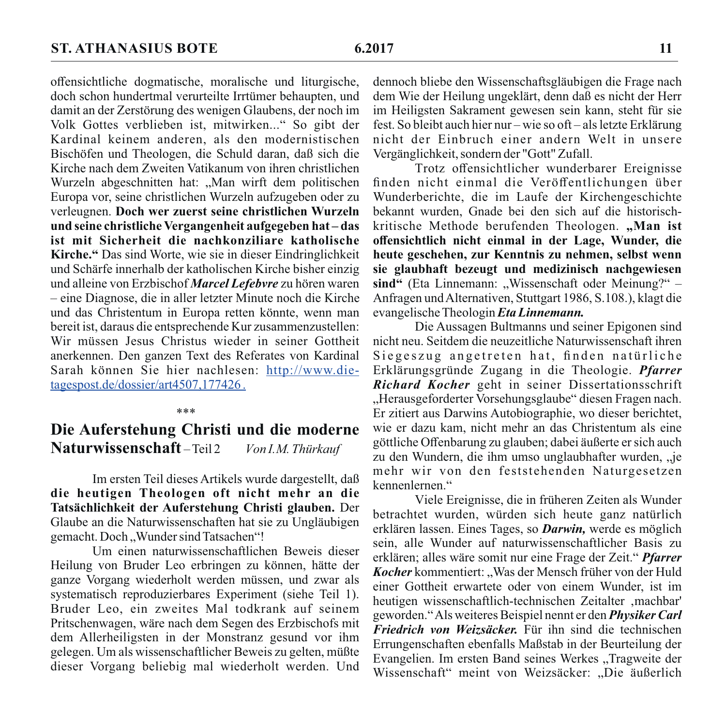offensichtliche dogmatische, moralische und liturgische, doch schon hundertmal verurteilte Irrtümer behaupten, und damit an der Zerstörung des wenigen Glaubens, der noch im Volk Gottes verblieben ist, mitwirken..." So gibt der Kardinal keinem anderen, als den modernistischen Bischöfen und Theologen, die Schuld daran, daß sich die Kirche nach dem Zweiten Vatikanum von ihren christlichen Wurzeln abgeschnitten hat: "Man wirft dem politischen Europa vor, seine christlichen Wurzeln aufzugeben oder zu verleugnen. Doch wer zuerst seine christlichen Wurzeln und seine christliche Vergangenheit aufgegeben hat-das ist mit Sicherheit die nachkonziliare katholische Kirche." Das sind Worte, wie sie in dieser Eindringlichkeit und Schärfe innerhalb der katholischen Kirche bisher einzig und alleine von Erzbischof Marcel Lefebvre zu hören waren  $-$  eine Diagnose, die in aller letzter Minute noch die Kirche und das Christentum in Europa retten könnte, wenn man bereit ist, daraus die entsprechende Kur zusammenzustellen: Wir müssen Jesus Christus wieder in seiner Gottheit anerkennen. Den ganzen Text des Referates von Kardinal Sarah können Sie hier nachlesen: http://www.dietagespost.de/dossier/art4507.177426.

#### Die Auferstehung Christi und die moderne Naturwissenschaft-Teil2 Von I.M. Thürkauf

 $***$ 

Im ersten Teil dieses Artikels wurde dargestellt, daß die heutigen Theologen oft nicht mehr an die Tatsächlichkeit der Auferstehung Christi glauben. Der Glaube an die Naturwissenschaften hat sie zu Ungläubigen gemacht. Doch "Wunder sind Tatsachen"!

Um einen naturwissenschaftlichen Beweis dieser Heilung von Bruder Leo erbringen zu können, hätte der ganze Vorgang wiederholt werden müssen, und zwar als systematisch reproduzierbares Experiment (siehe Teil 1). Bruder Leo, ein zweites Mal todkrank auf seinem Pritschenwagen, wäre nach dem Segen des Erzbischofs mit dem Allerheiligsten in der Monstranz gesund vor ihm gelegen. Um als wissenschaftlicher Beweis zu gelten, müßte dieser Vorgang beliebig mal wiederholt werden. Und

dennoch bliebe den Wissenschaftsgläubigen die Frage nach dem Wie der Heilung ungeklärt, denn daß es nicht der Herr im Heiligsten Sakrament gewesen sein kann, steht für sie fest. So bleibt auch hier nur – wie so oft – als letzte Erklärung nicht der Einbruch einer andern Welt in unsere Vergänglichkeit, sondern der "Gott" Zufall.

Trotz offensichtlicher wunderbarer Ereignisse finden nicht einmal die Veröffentlichungen über Wunderberichte, die im Laufe der Kirchengeschichte bekannt wurden. Gnade bei den sich auf die historischkritische Methode berufenden Theologen. "Man ist offensichtlich nicht einmal in der Lage, Wunder, die heute geschehen, zur Kenntnis zu nehmen, selbst wenn sie glaubhaft bezeugt und medizinisch nachgewiesen sind" (Eta Linnemann: "Wissenschaft oder Meinung?" – Anfragen und Alternativen, Stuttgart 1986, S.108.), klagt die evangelische Theologin Eta Linnemann.

Die Aussagen Bultmanns und seiner Epigonen sind nicht neu. Seitdem die neuzeitliche Naturwissenschaft ihren Siegeszug angetreten hat, finden natürliche Erklärungsgründe Zugang in die Theologie. Pfarrer Richard Kocher geht in seiner Dissertationsschrift "Herausgeforderter Vorsehungsglaube" diesen Fragen nach. Er zitiert aus Darwins Autobiographie, wo dieser berichtet. wie er dazu kam, nicht mehr an das Christentum als eine göttliche Offenbarung zu glauben; dabei äußerte er sich auch zu den Wundern, die ihm umso unglaubhafter wurden, "je mehr wir von den feststehenden Naturgesetzen kennenlernen."

Viele Ereignisse, die in früheren Zeiten als Wunder betrachtet wurden, würden sich heute ganz natürlich erklären lassen. Eines Tages, so *Darwin*, werde es möglich sein, alle Wunder auf naturwissenschaftlicher Basis zu erklären; alles wäre somit nur eine Frage der Zeit." Pfarrer Kocher kommentiert: "Was der Mensch früher von der Huld einer Gottheit erwartete oder von einem Wunder, ist im heutigen wissenschaftlich-technischen Zeitalter ,machbar' geworden." Als weiteres Beispiel nennt er den Physiker Carl Friedrich von Weizsäcker. Für ihn sind die technischen Errungenschaften ebenfalls Maßstab in der Beurteilung der Evangelien. Im ersten Band seines Werkes "Tragweite der Wissenschaft" meint von Weizsäcker: "Die äußerlich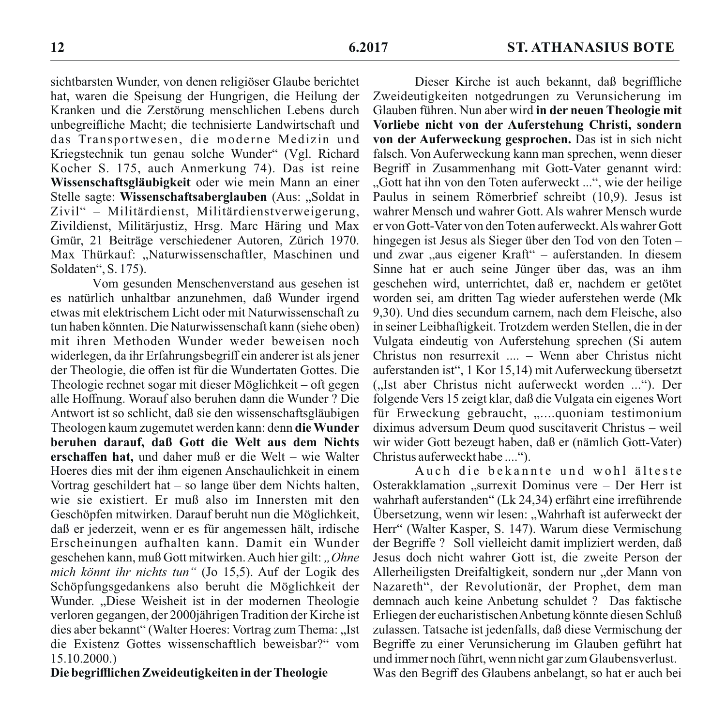sichtbarsten Wunder, von denen religiöser Glaube berichtet hat, waren die Speisung der Hungrigen, die Heilung der Kranken und die Zerstörung menschlichen Lebens durch unbegreifliche Macht; die technisierte Landwirtschaft und das Transportwesen, die moderne Medizin und Kriegstechnik tun genau solche Wunder" (Vgl. Richard Kocher S. 175, auch Anmerkung 74). Das ist reine Wissenschaftsgläubigkeit oder wie mein Mann an einer Stelle sagte: Wissenschaftsaberglauben (Aus: "Soldat in Zivil" - Militärdienst, Militärdienstverweigerung, Zivildienst, Militärjustiz, Hrsg. Marc Häring und Max Gmür, 21 Beiträge verschiedener Autoren, Zürich 1970. Max Thürkauf: "Naturwissenschaftler, Maschinen und Soldaten", S. 175).

Vom gesunden Menschenverstand aus gesehen ist es natürlich unhaltbar anzunehmen, daß Wunder irgend etwas mit elektrischem Licht oder mit Naturwissenschaft zu tun haben könnten. Die Naturwissenschaft kann (siehe oben) mit ihren Methoden Wunder weder beweisen noch widerlegen, da ihr Erfahrungsbegriff ein anderer ist als iener der Theologie, die offen ist für die Wundertaten Gottes. Die Theologie rechnet sogar mit dieser Möglichkeit – oft gegen alle Hoffnung. Worauf also beruhen dann die Wunder? Die Antwort ist so schlicht, daß sie den wissenschaftsgläubigen Theologen kaum zugemutet werden kann: denn die Wunder beruhen darauf, daß Gott die Welt aus dem Nichts erschaffen hat, und daher muß er die Welt – wie Walter Hoeres dies mit der ihm eigenen Anschaulichkeit in einem Vortrag geschildert hat – so lange über dem Nichts halten, wie sie existiert. Er muß also im Innersten mit den Geschöpfen mitwirken. Darauf beruht nun die Möglichkeit, daß er jederzeit, wenn er es für angemessen hält, irdische Erscheinungen aufhalten kann. Damit ein Wunder geschehen kann, muß Gott mitwirken. Auch hier gilt: "Ohne mich könnt ihr nichts tun" (Jo 15,5). Auf der Logik des Schöpfungsgedankens also beruht die Möglichkeit der Wunder. "Diese Weisheit ist in der modernen Theologie verloren gegangen, der 2000jährigen Tradition der Kirche ist dies aber bekannt" (Walter Hoeres: Vortrag zum Thema: "Ist die Existenz Gottes wissenschaftlich beweisbar?" vom  $15.10.2000.$ 

## Die begrifflichen Zweideutigkeiten in der Theologie

Dieser Kirche ist auch bekannt, daß begriffliche Zweideutigkeiten notgedrungen zu Verunsicherung im Glauben führen. Nun aber wird in der neuen Theologie mit Vorliebe nicht von der Auferstehung Christi, sondern von der Auferweckung gesprochen. Das ist in sich nicht falsch. Von Auferweckung kann man sprechen, wenn dieser Begriff in Zusammenhang mit Gott-Vater genannt wird: "Gott hat ihn von den Toten auferweckt ...", wie der heilige Paulus in seinem Römerbrief schreibt (10,9). Jesus ist wahrer Mensch und wahrer Gott. Als wahrer Mensch wurde er von Gott-Vater von den Toten auferweckt. Als wahrer Gott hingegen ist Jesus als Sieger über den Tod von den Totenund zwar "aus eigener Kraft" – auferstanden. In diesem Sinne hat er auch seine Jünger über das, was an ihm geschehen wird, unterrichtet, daß er, nachdem er getötet worden sei, am dritten Tag wieder auferstehen werde (Mk 9.30). Und dies secundum carnem, nach dem Fleische, also in seiner Leibhaftigkeit. Trotzdem werden Stellen, die in der Vulgata eindeutig von Auferstehung sprechen (Si autem Christus non resurrexit .... - Wenn aber Christus nicht auferstanden ist", 1 Kor 15,14) mit Auferweckung übersetzt ("Ist aber Christus nicht auferweckt worden ..."). Der folgende Vers 15 zeigt klar, daß die Vulgata ein eigenes Wort für Erweckung gebraucht. ...... quoniam testimonium diximus adversum Deum quod suscitaverit Christus – weil wir wider Gott bezeugt haben, daß er (nämlich Gott-Vater) Christus auferweckt habe ....".

Auch die bekannte und wohl älteste Osterakklamation "surrexit Dominus vere – Der Herr ist wahrhaft auferstanden" (Lk 24,34) erfährt eine irreführende Übersetzung, wenn wir lesen: "Wahrhaft ist auferweckt der Herr" (Walter Kasper, S. 147). Warum diese Vermischung der Begriffe ? Soll vielleicht damit impliziert werden, daß Jesus doch nicht wahrer Gott ist, die zweite Person der Allerheiligsten Dreifaltigkeit, sondern nur "der Mann von Nazareth", der Revolutionär, der Prophet, dem man demnach auch keine Anbetung schuldet ? Das faktische Erliegen der eucharistischen Anbetung könnte diesen Schluß zulassen. Tatsache ist jedenfalls, daß diese Vermischung der Begriffe zu einer Verunsicherung im Glauben geführt hat und immer noch führt, wenn nicht gar zum Glaubensverlust. Was den Begriff des Glaubens anbelangt, so hat er auch bei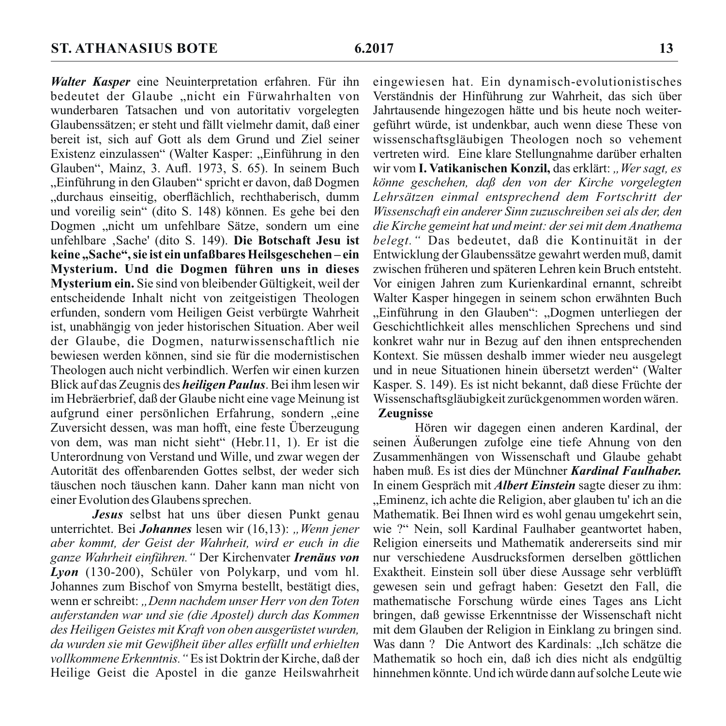Walter Kasper eine Neuinterpretation erfahren. Für ihn bedeutet der Glaube "nicht ein Fürwahrhalten von wunderbaren Tatsachen und von autoritativ vorgelegten Glaubenssätzen; er steht und fällt vielmehr damit, daß einer bereit ist, sich auf Gott als dem Grund und Ziel seiner Existenz einzulassen" (Walter Kasper: "Einführung in den Glauben", Mainz, 3. Aufl. 1973, S. 65). In seinem Buch "Einführung in den Glauben" spricht er davon, daß Dogmen "durchaus einseitig, oberflächlich, rechthaberisch, dumm und voreilig sein" (dito S. 148) können. Es gehe bei den Dogmen "nicht um unfehlbare Sätze, sondern um eine unfehlbare ,Sache' (dito S. 149). Die Botschaft Jesu ist keine "Sache", sie ist ein unfaßbares Heilsgeschehen-ein Mysterium. Und die Dogmen führen uns in dieses Mysterium ein. Sie sind von bleibender Gültigkeit, weil der entscheidende Inhalt nicht von zeitgeistigen Theologen erfunden, sondern vom Heiligen Geist verbürgte Wahrheit ist, unabhängig von jeder historischen Situation. Aber weil der Glaube, die Dogmen, naturwissenschaftlich nie bewiesen werden können, sind sie für die modernistischen Theologen auch nicht verbindlich. Werfen wir einen kurzen Blick auf das Zeugnis des *heiligen Paulus*. Bei ihm lesen wir im Hebräerbrief, daß der Glaube nicht eine vage Meinung ist aufgrund einer persönlichen Erfahrung, sondern "eine Zuversicht dessen, was man hofft, eine feste Überzeugung von dem, was man nicht sieht" (Hebr.11, 1). Er ist die Unterordnung von Verstand und Wille, und zwar wegen der Autorität des offenbarenden Gottes selbst, der weder sich täuschen noch täuschen kann. Daher kann man nicht von einer Evolution des Glaubens sprechen.

Jesus selbst hat uns über diesen Punkt genau unterrichtet. Bei Johannes lesen wir (16.13): "Wenn jener aber kommt, der Geist der Wahrheit, wird er euch in die ganze Wahrheit einführen." Der Kirchenvater Irenäus von Lyon (130-200), Schüler von Polykarp, und vom hl. Johannes zum Bischof von Smyrna bestellt, bestätigt dies. wenn er schreibt: "Denn nachdem unser Herr von den Toten auferstanden war und sie (die Apostel) durch das Kommen des Heiligen Geistes mit Kraft von oben ausgerüstet wurden. da wurden sie mit Gewißheit über alles erfüllt und erhielten vollkommene Erkenntnis. "Es ist Doktrin der Kirche, daß der Heilige Geist die Apostel in die ganze Heilswahrheit eingewiesen hat. Ein dynamisch-evolutionistisches Verständnis der Hinführung zur Wahrheit, das sich über Jahrtausende hingezogen hätte und bis heute noch weitergeführt würde, ist undenkbar, auch wenn diese These von wissenschaftsgläubigen Theologen noch so vehement vertreten wird. Eine klare Stellungnahme darüber erhalten wir vom I. Vatikanischen Konzil, das erklärt: "Wer sagt, es könne geschehen, daß den von der Kirche vorgelegten Lehrsätzen einmal entsprechend dem Fortschritt der Wissenschaft ein anderer Sinn zuzuschreiben sei als der, den die Kirche gemeint hat und meint: der sei mit dem Anathema belegt." Das bedeutet, daß die Kontinuität in der Entwicklung der Glaubenssätze gewahrt werden muß, damit zwischen früheren und späteren Lehren kein Bruch entsteht. Vor einigen Jahren zum Kurienkardinal ernannt, schreibt Walter Kasper hingegen in seinem schon erwähnten Buch "Einführung in den Glauben": "Dogmen unterliegen der Geschichtlichkeit alles menschlichen Sprechens und sind konkret wahr nur in Bezug auf den ihnen entsprechenden Kontext. Sie müssen deshalb immer wieder neu ausgelegt und in neue Situationen hinein übersetzt werden" (Walter Kasper, S. 149). Es ist nicht bekannt, daß diese Früchte der Wissenschaftsgläubigkeit zurückgenommen worden wären. **Zeugnisse** 

Hören wir dagegen einen anderen Kardinal, der seinen Äußerungen zufolge eine tiefe Ahnung von den Zusammenhängen von Wissenschaft und Glaube gehabt haben muß. Es ist dies der Münchner Kardinal Faulhaber. In einem Gespräch mit *Albert Einstein* sagte dieser zu ihm: "Eminenz, ich achte die Religion, aber glauben tu' ich an die Mathematik. Bei Ihnen wird es wohl genau umgekehrt sein, wie ?" Nein, soll Kardinal Faulhaber geantwortet haben. Religion einerseits und Mathematik andererseits sind mir nur verschiedene Ausdrucksformen derselben göttlichen Exaktheit. Einstein soll über diese Aussage sehr verblüfft gewesen sein und gefragt haben: Gesetzt den Fall, die mathematische Forschung würde eines Tages ans Licht bringen, daß gewisse Erkenntnisse der Wissenschaft nicht mit dem Glauben der Religion in Einklang zu bringen sind. Was dann? Die Antwort des Kardinals: "Ich schätze die Mathematik so hoch ein, daß ich dies nicht als endgültig hinnehmen könnte. Und ich würde dann auf solche Leute wie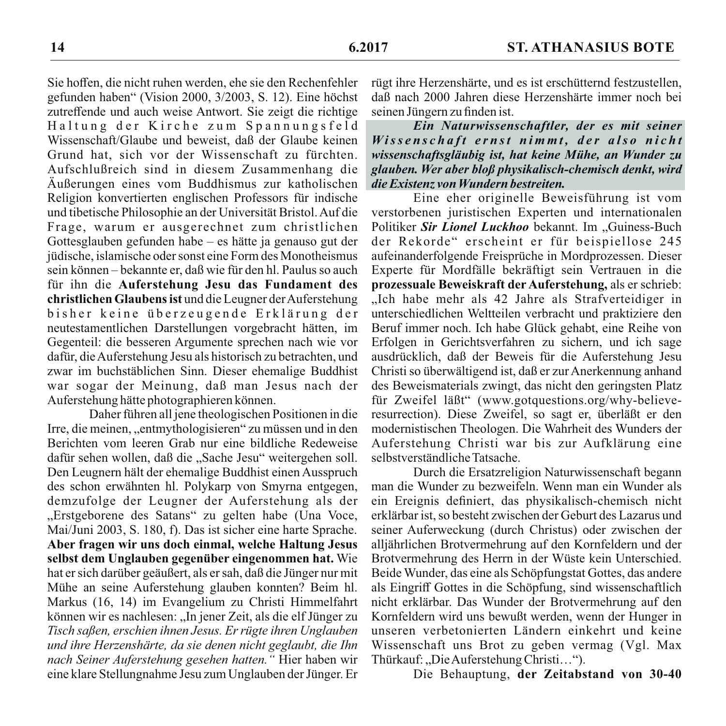Sie hoffen, die nicht ruhen werden, ehe sie den Rechenfehler gefunden haben" (Vision 2000, 3/2003, S. 12). Eine höchst zutreffende und auch weise Antwort. Sie zeigt die richtige Haltung der Kirche zum Spannungsfeld Wissenschaft/Glaube und beweist, daß der Glaube keinen Grund hat, sich vor der Wissenschaft zu fürchten. Aufschlußreich sind in diesem Zusammenhang die Äußerungen eines vom Buddhismus zur katholischen Religion konvertierten englischen Professors für indische und tibetische Philosophie an der Universität Bristol. Auf die Frage, warum er ausgerechnet zum christlichen Gottesglauben gefunden habe – es hätte ja genauso gut der jüdische, islamische oder sonst eine Form des Monotheismus sein können – bekannte er, daß wie für den hl. Paulus so auch für ihn die Auferstehung Jesu das Fundament des christlichen Glaubens ist und die Leugner der Auferstehung bisher keine überzeugende Erklärung der neutestamentlichen Darstellungen vorgebracht hätten, im Gegenteil: die besseren Argumente sprechen nach wie vor dafür, die Auferstehung Jesu als historisch zu betrachten, und zwar im buchstäblichen Sinn. Dieser ehemalige Buddhist war sogar der Meinung, daß man Jesus nach der Auferstehung hätte photographieren können.

Daher führen all jene theologischen Positionen in die Irre, die meinen, "entmythologisieren" zu müssen und in den Berichten vom leeren Grab nur eine bildliche Redeweise dafür sehen wollen, daß die "Sache Jesu" weitergehen soll. Den Leugnern hält der ehemalige Buddhist einen Ausspruch des schon erwähnten hl. Polykarp von Smyrna entgegen, demzufolge der Leugner der Auferstehung als der "Erstgeborene des Satans" zu gelten habe (Una Voce. Mai/Juni 2003, S. 180, f). Das ist sicher eine harte Sprache. Aber fragen wir uns doch einmal, welche Haltung Jesus selbst dem Unglauben gegenüber eingenommen hat. Wie hat er sich darüber geäußert, als er sah, daß die Jünger nur mit Mühe an seine Auferstehung glauben konnten? Beim hl. Markus (16, 14) im Evangelium zu Christi Himmelfahrt können wir es nachlesen: "In jener Zeit, als die elf Jünger zu Tisch saßen, erschien ihnen Jesus. Er rügte ihren Unglauben und ihre Herzenshärte, da sie denen nicht geglaubt, die Ihn nach Seiner Auferstehung gesehen hatten." Hier haben wir eine klare Stellungnahme Jesu zum Unglauben der Jünger. Er rügt ihre Herzenshärte, und es ist erschütternd festzustellen, daß nach 2000 Jahren diese Herzenshärte immer noch bei seinen Jüngern zu finden ist.

Ein Naturwissenschaftler, der es mit seiner Wissenschaft ernst nimmt, der also nicht wissenschaftsgläubig ist, hat keine Mühe, an Wunder zu glauben. Wer aber bloß physikalisch-chemisch denkt, wird die Existenz von Wundern bestreiten.

Eine eher originelle Beweisführung ist vom verstorbenen juristischen Experten und internationalen Politiker Sir Lionel Luckhoo bekannt. Im "Guiness-Buch der Rekorde" erscheint er für beispiellose 245 aufeinanderfolgende Freisprüche in Mordprozessen. Dieser Experte für Mordfälle bekräftigt sein Vertrauen in die prozessuale Beweiskraft der Auferstehung, als er schrieb: "Ich habe mehr als 42 Jahre als Strafverteidiger in unterschiedlichen Weltteilen verbracht und praktiziere den Beruf immer noch. Ich habe Glück gehabt, eine Reihe von Erfolgen in Gerichtsverfahren zu sichern, und ich sage ausdrücklich, daß der Beweis für die Auferstehung Jesu Christi so überwältigend ist, daß er zur Anerkennung anhand des Beweismaterials zwingt, das nicht den geringsten Platz für Zweifel läßt" (www.gotquestions.org/why-believeresurrection). Diese Zweifel, so sagt er, überläßt er den modernistischen Theologen. Die Wahrheit des Wunders der Auferstehung Christi war bis zur Aufklärung eine selbstverständliche Tatsache.

Durch die Ersatzreligion Naturwissenschaft begann man die Wunder zu bezweifeln. Wenn man ein Wunder als ein Ereignis definiert, das physikalisch-chemisch nicht erklärbar ist, so besteht zwischen der Geburt des Lazarus und seiner Auferweckung (durch Christus) oder zwischen der alljährlichen Brotvermehrung auf den Kornfeldern und der Brotvermehrung des Herrn in der Wüste kein Unterschied. Beide Wunder, das eine als Schöpfungstat Gottes, das andere als Eingriff Gottes in die Schöpfung, sind wissenschaftlich nicht erklärbar. Das Wunder der Brotvermehrung auf den Kornfeldern wird uns bewußt werden, wenn der Hunger in unseren verbetonierten Ländern einkehrt und keine Wissenschaft uns Brot zu geben vermag (Vgl. Max Thürkauf: "Die Auferstehung Christi...").

Die Behauptung, der Zeitabstand von 30-40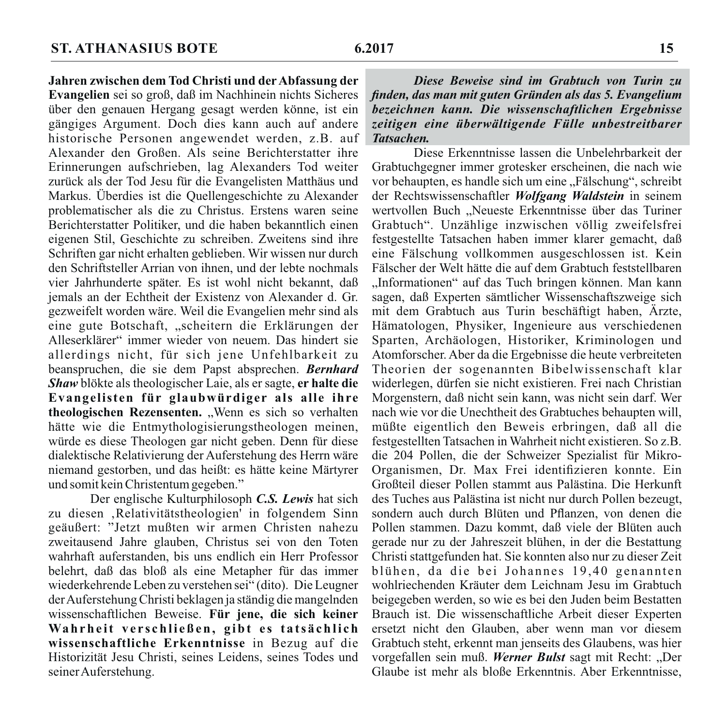Jahren zwischen dem Tod Christi und der Abfassung der Evangelien sei so groß, daß im Nachhinein nichts Sicheres über den genauen Hergang gesagt werden könne, ist ein gängiges Argument. Doch dies kann auch auf andere historische Personen angewendet werden, z.B. auf Alexander den Großen. Als seine Berichterstatter ihre Erinnerungen aufschrieben, lag Alexanders Tod weiter zurück als der Tod Jesu für die Evangelisten Matthäus und Markus. Überdies ist die Quellengeschichte zu Alexander problematischer als die zu Christus. Erstens waren seine Berichterstatter Politiker, und die haben bekanntlich einen eigenen Stil. Geschichte zu schreiben. Zweitens sind ihre Schriften gar nicht erhalten geblieben. Wir wissen nur durch den Schriftsteller Arrian von ihnen, und der lebte nochmals vier Jahrhunderte später. Es ist wohl nicht bekannt, daß jemals an der Echtheit der Existenz von Alexander d. Gr. gezweifelt worden wäre. Weil die Evangelien mehr sind als eine gute Botschaft. "scheitern die Erklärungen der Alleserklärer" immer wieder von neuem. Das hindert sie allerdings nicht, für sich jene Unfehlbarkeit zu beanspruchen, die sie dem Papst absprechen. Bernhard *Shaw* blökte als theologischer Laie, als er sagte, **er halte die** Evangelisten für glaubwürdiger als alle ihre theologischen Rezensenten. "Wenn es sich so verhalten hätte wie die Entmythologisierungstheologen meinen. würde es diese Theologen gar nicht geben. Denn für diese dialektische Relativierung der Auferstehung des Herrn wäre niemand gestorben, und das heißt: es hätte keine Märtyrer und somit kein Christentum gegeben."

Der englische Kulturphilosoph C.S. Lewis hat sich zu diesen ,Relativitätstheologien' in folgendem Sinn geäußert: "Jetzt mußten wir armen Christen nahezu zweitausend Jahre glauben. Christus sei von den Toten wahrhaft auferstanden, bis uns endlich ein Herr Professor belehrt, daß das bloß als eine Metapher für das immer wiederkehrende Leben zu verstehen sei" (dito). Die Leugner der Auferstehung Christi beklagen ja ständig die mangelnden wissenschaftlichen Beweise. Für jene, die sich keiner Wahrheit verschließen, gibt es tatsächlich wissenschaftliche Erkenntnisse in Bezug auf die Historizität Jesu Christi, seines Leidens, seines Todes und seiner Auferstehung.

Diese Reweise sind im Grabtuch von Turin zu finden, das man mit guten Gründen als das 5. Evangelium bezeichnen kann. Die wissenschaftlichen Ergebnisse zeitigen eine überwältigende Fülle unbestreitbarer **Tatsachen** 

Diese Erkenntnisse lassen die Unbelehrbarkeit der Grabtuchgegner immer grotesker erscheinen, die nach wie vor behaupten, es handle sich um eine "Fälschung", schreibt der Rechtswissenschaftler Wolfgang Waldstein in seinem wertvollen Buch "Neueste Erkenntnisse über das Turiner Grabtuch". Unzählige inzwischen völlig zweifelsfrei festgestellte Tatsachen haben immer klarer gemacht, daß eine Fälschung vollkommen ausgeschlossen ist. Kein Fälscher der Welt hätte die auf dem Grabtuch feststellbaren "Informationen" auf das Tuch bringen können. Man kann sagen, daß Experten sämtlicher Wissenschaftszweige sich mit dem Grabtuch aus Turin beschäftigt haben. Ärzte. Hämatologen, Physiker, Ingenieure aus verschiedenen Sparten, Archäologen, Historiker, Kriminologen und Atomforscher. Aber da die Ergebnisse die heute verbreiteten Theorien der sogenannten Bibelwissenschaft klar widerlegen, dürfen sie nicht existieren. Frei nach Christian Morgenstern, daß nicht sein kann, was nicht sein darf. Wer nach wie vor die Unechtheit des Grabtuches behaupten will, müßte eigentlich den Beweis erbringen, daß all die festgestellten Tatsachen in Wahrheit nicht existieren. So z.B. die 204 Pollen, die der Schweizer Spezialist für Mikro-Organismen, Dr. Max Frei identifizieren konnte. Ein Großteil dieser Pollen stammt aus Palästina. Die Herkunft des Tuches aus Palästina ist nicht nur durch Pollen bezeugt, sondern auch durch Blüten und Pflanzen, von denen die Pollen stammen. Dazu kommt, daß viele der Blüten auch gerade nur zu der Jahreszeit blühen, in der die Bestattung Christi stattgefunden hat. Sie konnten also nur zu dieser Zeit blühen, da die bei Johannes 19.40 genannten wohlriechenden Kräuter dem Leichnam Jesu im Grabtuch beigegeben werden, so wie es bei den Juden beim Bestatten Brauch ist. Die wissenschaftliche Arbeit dieser Experten ersetzt nicht den Glauben, aber wenn man vor diesem Grabtuch steht, erkennt man jenseits des Glaubens, was hier vorgefallen sein muß. Werner Bulst sagt mit Recht: "Der Glaube ist mehr als bloße Erkenntnis. Aber Erkenntnisse.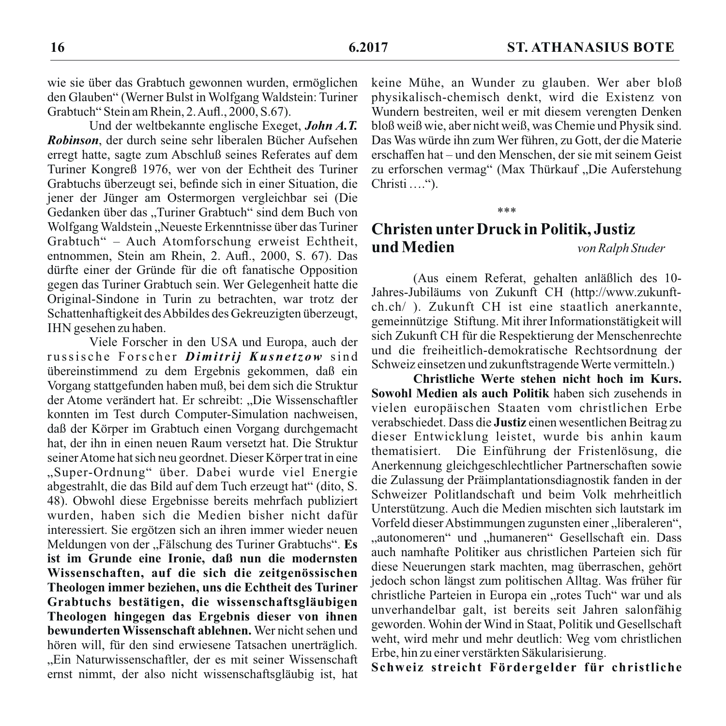wie sie über das Grabtuch gewonnen wurden, ermöglichen den Glauben" (Werner Bulst in Wolfgang Waldstein: Turiner Grabtuch" Stein am Rhein, 2. Aufl., 2000, S.67).

Und der weltbekannte englische Exeget, John A.T. *Robinson*, der durch seine sehr liberalen Bücher Aufsehen erregt hatte, sagte zum Abschluß seines Referates auf dem Turiner Kongreß 1976, wer von der Echtheit des Turiner Grabtuchs überzeugt sei, befinde sich in einer Situation, die jener der Jünger am Ostermorgen vergleichbar sei (Die Gedanken über das "Turiner Grabtuch" sind dem Buch von Wolfgang Waldstein, Neueste Erkenntnisse über das Turiner Grabtuch" – Auch Atomforschung erweist Echtheit, entnommen. Stein am Rhein. 2. Aufl., 2000. S. 67). Das dürfte einer der Gründe für die oft fanatische Opposition gegen das Turiner Grabtuch sein. Wer Gelegenheit hatte die Original-Sindone in Turin zu betrachten, war trotz der Schattenhaftigkeit des Abbildes des Gekreuzigten überzeugt, IHN gesehen zu haben.

Viele Forscher in den USA und Europa, auch der russische Forscher Dimitrij Kusnetzow sind übereinstimmend zu dem Ergebnis gekommen, daß ein Vorgang stattgefunden haben muß, bei dem sich die Struktur der Atome verändert hat. Er schreibt: "Die Wissenschaftler konnten im Test durch Computer-Simulation nachweisen, daß der Körper im Grabtuch einen Vorgang durchgemacht hat, der ihn in einen neuen Raum versetzt hat. Die Struktur seiner Atome hat sich neu geordnet. Dieser Körper trat in eine "Super-Ordnung" über. Dabei wurde viel Energie abgestrahlt, die das Bild auf dem Tuch erzeugt hat" (dito, S. 48). Obwohl diese Ergebnisse bereits mehrfach publiziert wurden, haben sich die Medien bisher nicht dafür interessiert. Sie ergötzen sich an ihren immer wieder neuen Meldungen von der "Fälschung des Turiner Grabtuchs". Es ist im Grunde eine Ironie, daß nun die modernsten Wissenschaften, auf die sich die zeitgenössischen Theologen immer beziehen, uns die Echtheit des Turiner Grabtuchs bestätigen, die wissenschaftsgläubigen Theologen hingegen das Ergebnis dieser von ihnen bewunderten Wissenschaft ablehnen. Wer nicht sehen und hören will, für den sind erwiesene Tatsachen unerträglich. "Ein Naturwissenschaftler, der es mit seiner Wissenschaft ernst nimmt, der also nicht wissenschaftsgläubig ist, hat

keine Mühe, an Wunder zu glauben. Wer aber bloß physikalisch-chemisch denkt, wird die Existenz von Wundern bestreiten, weil er mit diesem verengten Denken bloß weiß wie, aber nicht weiß, was Chemie und Physik sind. Das Was würde ihn zum Wer führen, zu Gott, der die Materie erschaffen hat – und den Menschen, der sie mit seinem Geist zu erforschen vermag" (Max Thürkauf "Die Auferstehung Christi  $\dots$ ").

#### **Christen unter Druck in Politik, Justiz** und Medien von Ralph Studer

له مه مه

(Aus einem Referat, gehalten anläßlich des 10-Jahres-Jubiläums von Zukunft CH (http://www.zukunftch.ch/). Zukunft CH ist eine staatlich anerkannte. gemeinnützige Stiftung. Mit ihrer Informationstätigkeit will sich Zukunft CH für die Respektierung der Menschenrechte und die freiheitlich-demokratische Rechtsordnung der Schweiz einsetzen und zukunftstragende Werte vermitteln.)

Christliche Werte stehen nicht hoch im Kurs. Sowohl Medien als auch Politik haben sich zusehends in vielen europäischen Staaten vom christlichen Erbe verabschiedet. Dass die Justiz einen wesentlichen Beitrag zu dieser Entwicklung leistet, wurde bis anhin kaum thematisiert. Die Einführung der Fristenlösung, die Anerkennung gleichgeschlechtlicher Partnerschaften sowie die Zulassung der Präimplantationsdiagnostik fanden in der Schweizer Politlandschaft und beim Volk mehrheitlich Unterstützung. Auch die Medien mischten sich lautstark im Vorfeld dieser Abstimmungen zugunsten einer "liberaleren", "autonomeren" und "humaneren" Gesellschaft ein. Dass auch namhafte Politiker aus christlichen Parteien sich für diese Neuerungen stark machten, mag überraschen, gehört jedoch schon längst zum politischen Alltag. Was früher für christliche Parteien in Europa ein "rotes Tuch" war und als unverhandelbar galt, ist bereits seit Jahren salonfähig geworden. Wohin der Wind in Staat, Politik und Gesellschaft weht, wird mehr und mehr deutlich: Weg vom christlichen Erbe, hin zu einer verstärkten Säkularisierung.

Schweiz streicht Fördergelder für christliche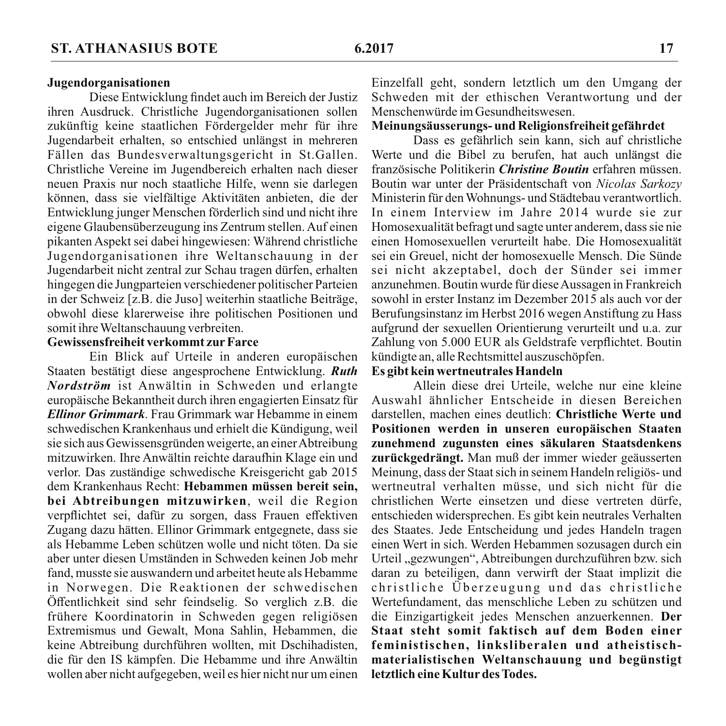Diese Entwicklung findet auch im Bereich der Justiz ihren Ausdruck. Christliche Jugendorganisationen sollen zukünftig keine staatlichen Fördergelder mehr für ihre Jugendarbeit erhalten, so entschied unlängst in mehreren Fällen das Bundesverwaltungsgericht in St.Gallen. Christliche Vereine im Jugendbereich erhalten nach dieser neuen Praxis nur noch staatliche Hilfe, wenn sie darlegen können, dass sie vielfältige Aktivitäten anbieten, die der Entwicklung junger Menschen förderlich sind und nicht ihre eigene Glaubensüberzeugung ins Zentrum stellen. Auf einen pikanten Aspekt sei dabei hingewiesen: Während christliche Jugendorganisationen ihre Weltanschauung in der Jugendarbeit nicht zentral zur Schau tragen dürfen, erhalten hingegen die Jungparteien verschiedener politischer Parteien in der Schweiz [z.B. die Juso] weiterhin staatliche Beiträge. obwohl diese klarerweise ihre politischen Positionen und somit ihre Weltanschauung verbreiten.

#### Gewissensfreiheit verkommt zur Farce

Ein Blick auf Urteile in anderen europäischen Staaten bestätigt diese angesprochene Entwicklung. Ruth Nordström ist Anwältin in Schweden und erlangte europäische Bekanntheit durch ihren engagierten Einsatz für Ellinor Grimmark. Frau Grimmark war Hebamme in einem schwedischen Krankenhaus und erhielt die Kündigung, weil sie sich aus Gewissensgründen weigerte, an einer Abtreibung mitzuwirken. Ihre Anwältin reichte daraufhin Klage ein und verlor. Das zuständige schwedische Kreisgericht gab 2015 dem Krankenhaus Recht: Hebammen müssen bereit sein. bei Abtreibungen mitzuwirken, weil die Region verpflichtet sei, dafür zu sorgen, dass Frauen effektiven Zugang dazu hätten. Ellinor Grimmark entgegnete, dass sie als Hebamme Leben schützen wolle und nicht töten. Da sie aber unter diesen Umständen in Schweden keinen Joh mehr fand, musste sie auswandern und arbeitet heute als Hebamme in Norwegen. Die Reaktionen der schwedischen Öffentlichkeit sind sehr feindselig. So verglich z.B. die frühere Koordinatorin in Schweden gegen religiösen Extremismus und Gewalt, Mona Sahlin, Hebammen, die keine Abtreibung durchführen wollten, mit Dschihadisten, die für den IS kämpfen. Die Hebamme und ihre Anwältin wollen aber nicht aufgegeben, weil es hier nicht nur um einen

Einzelfall geht, sondern letztlich um den Umgang der Schweden mit der ethischen Verantwortung und der Menschenwürde im Gesundheitswesen.

#### Meinungsäusserungs- und Religionsfreiheit gefährdet

Dass es gefährlich sein kann, sich auf christliche Werte und die Bibel zu berufen, hat auch unlängst die französische Politikerin *Christine Boutin* erfahren müssen. Boutin war unter der Präsidentschaft von Nicolas Sarkozy Ministerin für den Wohnungs- und Städtebau verantwortlich. In einem Interview im Jahre 2014 wurde sie zur Homosexualität befragt und sagte unter anderem, dass sie nie einen Homosexuellen verurteilt habe. Die Homosexualität sei ein Greuel, nicht der homosexuelle Mensch. Die Sünde sei nicht akzeptabel, doch der Sünder sei immer anzunehmen. Boutin wurde für diese Aussagen in Frankreich sowohl in erster Instanz im Dezember 2015 als auch vor der Berufungsinstanz im Herbst 2016 wegen Anstiftung zu Hass aufgrund der sexuellen Orientierung verurteilt und u.a. zur Zahlung von 5.000 EUR als Geldstrafe verpflichtet. Boutin kündigte an, alle Rechtsmittel auszuschöpfen.

#### Es gibt kein wertneutrales Handeln

Allein diese drei Urteile, welche nur eine kleine Auswahl ähnlicher Entscheide in diesen Bereichen darstellen, machen eines deutlich: Christliche Werte und Positionen werden in unseren europäischen Staaten zunehmend zugunsten eines säkularen Staatsdenkens zurückgedrängt. Man muß der immer wieder geäusserten Meinung, dass der Staat sich in seinem Handeln religiös- und wertneutral verhalten müsse, und sich nicht für die christlichen Werte einsetzen und diese vertreten dürfe. entschieden widersprechen. Es gibt kein neutrales Verhalten des Staates. Jede Entscheidung und jedes Handeln tragen einen Wert in sich. Werden Hebammen sozusagen durch ein Urteil "gezwungen", Abtreibungen durchzuführen bzw. sich daran zu beteiligen, dann verwirft der Staat implizit die christliche Überzeugung und das christliche Wertefundament, das menschliche Leben zu schützen und die Einzigartigkeit jedes Menschen anzuerkennen. Der Staat steht somit faktisch auf dem Boden einer feministischen, linksliberalen und atheistischmaterialistischen Weltanschauung und begünstigt letztlich eine Kultur des Todes.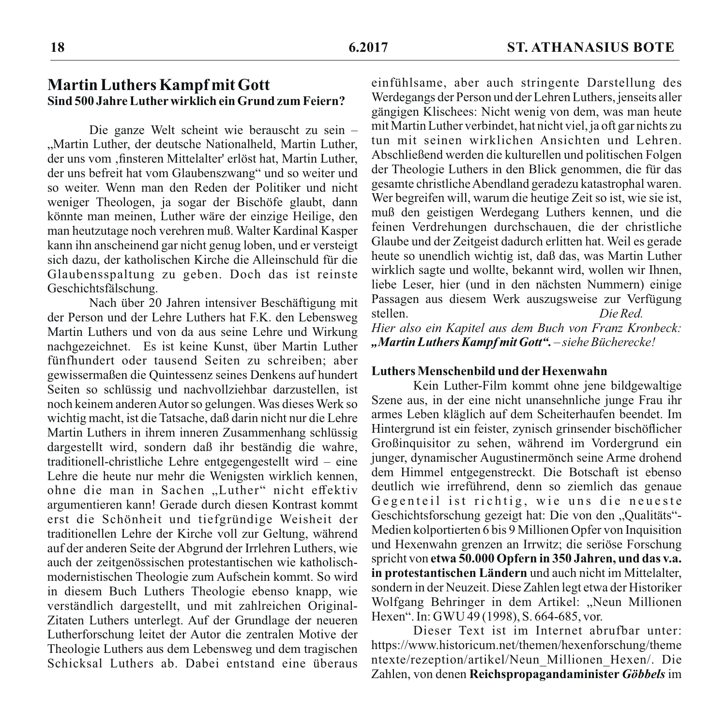# **Martin Luthers Kampf mit Gott** Sind 500 Jahre Luther wirklich ein Grund zum Feiern?

Die ganze Welt scheint wie berauscht zu sein -"Martin Luther, der deutsche Nationalheld, Martin Luther, der uns vom "finsteren Mittelalter' erlöst hat. Martin Luther. der uns befreit hat vom Glaubenszwang" und so weiter und so weiter. Wenn man den Reden der Politiker und nicht weniger Theologen, ja sogar der Bischöfe glaubt, dann könnte man meinen, Luther wäre der einzige Heilige, den man heutzutage noch verehren muß. Walter Kardinal Kasper kann ihn anscheinend gar nicht genug loben, und er versteigt sich dazu, der katholischen Kirche die Alleinschuld für die Glaubensspaltung zu geben. Doch das ist reinste Geschichtsfälschung.

Nach über 20 Jahren intensiver Beschäftigung mit der Person und der Lehre Luthers hat F.K. den Lebensweg Martin Luthers und von da aus seine Lehre und Wirkung nachgezeichnet. Es ist keine Kunst, über Martin Luther fünfhundert oder tausend Seiten zu schreiben; aber gewissermaßen die Ouintessenz seines Denkens auf hundert Seiten so schlüssig und nachvollziehbar darzustellen, ist noch keinem anderen Autor so gelungen. Was dieses Werk so wichtig macht, ist die Tatsache, daß darin nicht nur die Lehre Martin Luthers in ihrem inneren Zusammenhang schlüssig dargestellt wird, sondern daß ihr beständig die wahre, traditionell-christliche Lehre entgegengestellt wird – eine Lehre die heute nur mehr die Wenigsten wirklich kennen, ohne die man in Sachen "Luther" nicht effektiv argumentieren kann! Gerade durch diesen Kontrast kommt erst die Schönheit und tiefgründige Weisheit der traditionellen Lehre der Kirche voll zur Geltung, während auf der anderen Seite der Abgrund der Irrlehren Luthers, wie auch der zeitgenössischen protestantischen wie katholischmodernistischen Theologie zum Aufschein kommt. So wird in diesem Buch Luthers Theologie ebenso knapp, wie verständlich dargestellt, und mit zahlreichen Original-Zitaten Luthers unterlegt. Auf der Grundlage der neueren Lutherforschung leitet der Autor die zentralen Motive der Theologie Luthers aus dem Lebensweg und dem tragischen Schicksal Luthers ab. Dabei entstand eine überaus

einfühlsame, aber auch stringente Darstellung des Werdegangs der Person und der Lehren Luthers, jenseits aller gängigen Klischees: Nicht wenig von dem, was man heute mit Martin Luther verbindet, hat nicht viel, ja oft gar nichts zu tun mit seinen wirklichen Ansichten und Lehren. Abschließend werden die kulturellen und politischen Folgen der Theologie Luthers in den Blick genommen, die für das gesamte christliche Abendland geradezu katastrophal waren. Wer begreifen will, warum die heutige Zeit so ist, wie sie ist, muß den geistigen Werdegang Luthers kennen, und die feinen Verdrehungen durchschauen, die der christliche Glaube und der Zeitgeist dadurch erlitten hat. Weil es gerade heute so unendlich wichtig ist, daß das, was Martin Luther wirklich sagte und wollte, bekannt wird, wollen wir Ihnen, liebe Leser, hier (und in den nächsten Nummern) einige Passagen aus diesem Werk auszugsweise zur Verfügung stellen.  $Die Red$ Hier also ein Kapitel aus dem Buch von Franz Kronbeck: "Martin Luthers Kampf mit Gott". - siehe Bücherecke!

#### **Luthers Menschenbild und der Hexenwahn**

Kein Luther-Film kommt ohne jene bildgewaltige Szene aus, in der eine nicht unansehnliche junge Frau ihr armes Leben kläglich auf dem Scheiterhaufen beendet. Im Hintergrund ist ein feister, zynisch grinsender bischöflicher Großinguisitor zu sehen, während im Vordergrund ein junger, dynamischer Augustinermönch seine Arme drohend dem Himmel entgegenstreckt. Die Botschaft ist ebenso deutlich wie irreführend, denn so ziemlich das genaue Gegenteil ist richtig, wie uns die neueste Geschichtsforschung gezeigt hat: Die von den "Qualitäts"-Medien kolportierten 6 bis 9 Millionen Opfer von Inquisition und Hexenwahn grenzen an Irrwitz; die seriöse Forschung spricht von etwa 50.000 Opfern in 350 Jahren, und das v.a. in protestantischen Ländern und auch nicht im Mittelalter. sondern in der Neuzeit. Diese Zahlen legt etwa der Historiker Wolfgang Behringer in dem Artikel: "Neun Millionen Hexen". In: GWU 49 (1998), S. 664-685, vor.

Dieser Text ist im Internet abrufbar unter: https://www.historicum.net/themen/hexenforschung/theme ntexte/rezeption/artikel/Neun Millionen Hexen/. Die Zahlen, von denen Reichspropagandaminister Göbbels im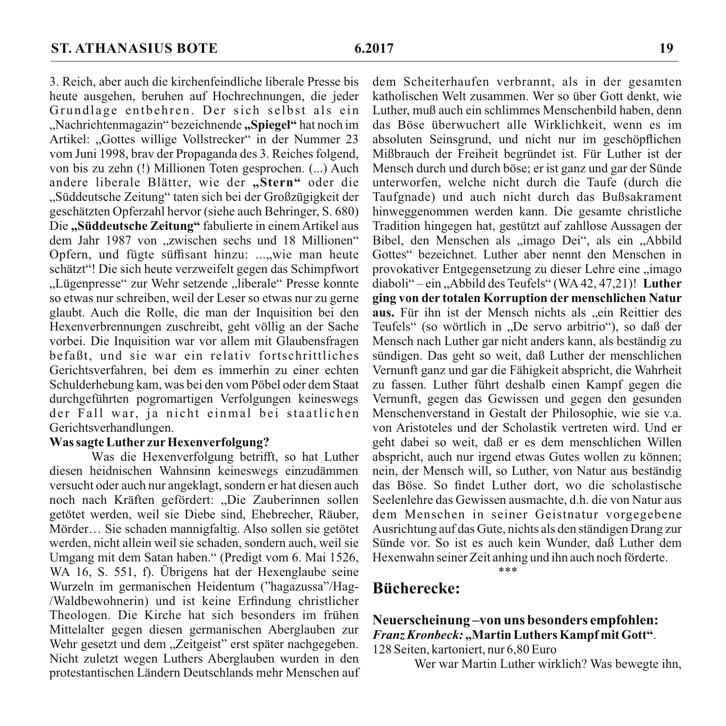3. Reich, aber auch die kirchenfeindliche liberale Presse bis heute ausgehen, beruhen auf Hochrechnungen, die jeder Grundlage entbehren. Der sich selbst als ein "Nachrichtenmagazin" bezeichnende "Spiegel" hat noch im Artikel: "Gottes willige Vollstrecker" in der Nummer 23 vom Juni 1998, brav der Propaganda des 3. Reiches folgend, von bis zu zehn (!) Millionen Toten gesprochen. (...) Auch andere liberale Blätter, wie der "Stern" oder die "Süddeutsche Zeitung" taten sich bei der Großzügigkeit der geschätzten Opferzahl hervor (siehe auch Behringer, S. 680) Die "Süddeutsche Zeitung" fabulierte in einem Artikel aus dem Jahr 1987 von "zwischen sechs und 18 Millionen" Opfern, und fügte süffisant hinzu: ...,wie man heute schätzt"! Die sich heute verzweifelt gegen das Schimpfwort "Lügenpresse" zur Wehr setzende "liberale" Presse konnte so etwas nur schreiben, weil der Leser so etwas nur zu gerne glaubt. Auch die Rolle, die man der Inquisition bei den Hexenverbrennungen zuschreibt, geht völlig an der Sache vorbei. Die Inquisition war vor allem mit Glaubensfragen befaßt, und sie war ein relativ fortschrittliches Gerichtsverfahren, bei dem es immerhin zu einer echten Schulderhebung kam, was bei den vom Pöbel oder dem Staat durchgeführten pogromartigen Verfolgungen keineswegs der Fall war, ja nicht einmal bei staatlichen Gerichtsverhandlungen.

# Was sagte Luther zur Hexenverfolgung?

Was die Hexenverfolgung betrifft, so hat Luther diesen heidnischen Wahnsinn keineswegs einzudämmen versucht oder auch nur angeklagt, sondern er hat diesen auch noch nach Kräften gefördert: "Die Zauberinnen sollen getötet werden, weil sie Diebe sind, Ehebrecher, Räuber, Mörder... Sie schaden mannigfaltig. Also sollen sie getötet werden, nicht allein weil sie schaden, sondern auch, weil sie Umgang mit dem Satan haben." (Predigt vom 6. Mai 1526, WA 16, S. 551, f). Übrigens hat der Hexenglaube seine Wurzeln im germanischen Heidentum ("hagazussa"/Hag-/Waldbewohnerin) und ist keine Erfindung christlicher Theologen. Die Kirche hat sich besonders im frühen Mittelalter gegen diesen germanischen Aberglauben zur Wehr gesetzt und dem "Zeitgeist" erst später nachgegeben. Nicht zuletzt wegen Luthers Aberglauben wurden in den protestantischen Ländern Deutschlands mehr Menschen auf dem Scheiterhaufen verbrannt, als in der gesamten katholischen Welt zusammen. Wer so über Gott denkt, wie Luther, muß auch ein schlimmes Menschenbild haben, denn das Böse überwuchert alle Wirklichkeit, wenn es im absoluten Seinsgrund, und nicht nur im geschöpflichen Mißbrauch der Freiheit begründet ist. Für Luther ist der Mensch durch und durch böse; er ist ganz und gar der Sünde unterworfen, welche nicht durch die Taufe (durch die Taufgnade) und auch nicht durch das Bußsakrament hinweggenommen werden kann. Die gesamte christliche Tradition hingegen hat, gestützt auf zahllose Aussagen der Bibel, den Menschen als "imago Dei", als ein "Abbild Gottes" bezeichnet. Luther aber nennt den Menschen in provokativer Entgegensetzung zu dieser Lehre eine "imago diaboli" – ein "Abbild des Teufels" (WA 42, 47,21)! Luther ging von der totalen Korruption der menschlichen Natur aus. Für ihn ist der Mensch nichts als "ein Reittier des Teufels" (so wörtlich in "De servo arbitrio"), so daß der Mensch nach Luther gar nicht anders kann, als beständig zu sündigen. Das geht so weit, daß Luther der menschlichen Vernunft ganz und gar die Fähigkeit abspricht, die Wahrheit zu fassen. Luther führt deshalb einen Kampf gegen die Vernunft, gegen das Gewissen und gegen den gesunden Menschenverstand in Gestalt der Philosophie, wie sie v.a. von Aristoteles und der Scholastik vertreten wird. Und er geht dabei so weit, daß er es dem menschlichen Willen abspricht, auch nur irgend etwas Gutes wollen zu können; nein, der Mensch will, so Luther, von Natur aus beständig das Böse. So findet Luther dort, wo die scholastische Seelenlehre das Gewissen ausmachte, d.h. die von Natur aus dem Menschen in seiner Geistnatur vorgegebene Ausrichtung auf das Gute, nichts als den ständigen Drang zur Sünde vor. So ist es auch kein Wunder, daß Luther dem Hexenwahn seiner Zeit anhing und ihn auch noch förderte.

 $***$ 

# **Bücherecke:**

# Neuerscheinung-von uns besonders empfohlen: Franz Kronbeck: "Martin Luthers Kampf mit Gott".

128 Seiten, kartoniert, nur 6,80 Euro

Wer war Martin Luther wirklich? Was bewegte ihn,